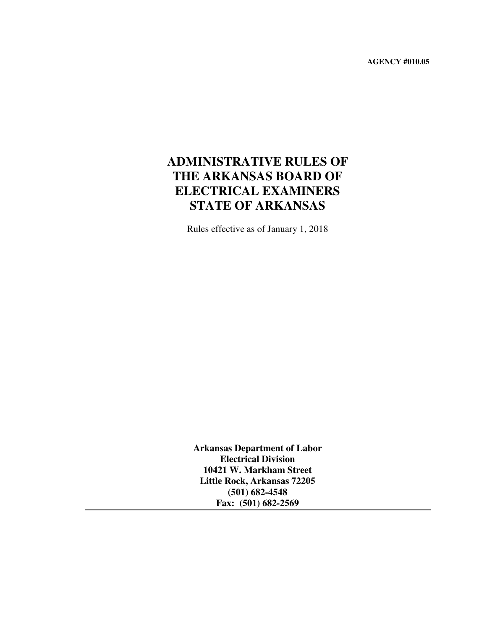**AGENCY #010.05** 

# **ADMINISTRATIVE RULES OF THE ARKANSAS BOARD OF ELECTRICAL EXAMINERS STATE OF ARKANSAS**

Rules effective as of January 1, 2018

**Arkansas Department of Labor Electrical Division 10421 W. Markham Street Little Rock, Arkansas 72205 (501) 682-4548 Fax: (501) 682-2569**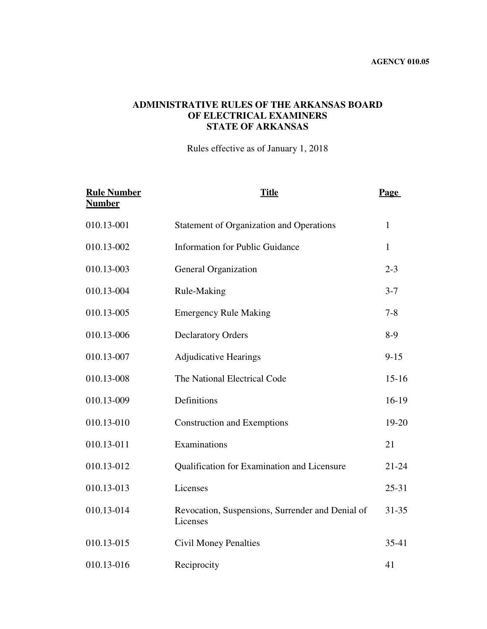### **ADMINISTRATIVE RULES OF THE ARKANSAS BOARD OF ELECTRICAL EXAMINERS STATE OF ARKANSAS**

Rules effective as of January 1, 2018

| <b>Rule Number</b><br><b>Number</b> | <b>Title</b>                                                 | <b>Page</b>  |
|-------------------------------------|--------------------------------------------------------------|--------------|
| 010.13-001                          | Statement of Organization and Operations                     | $\mathbf{1}$ |
| 010.13-002                          | <b>Information for Public Guidance</b>                       | 1            |
| 010.13-003                          | General Organization                                         | $2 - 3$      |
| 010.13-004                          | Rule-Making                                                  | $3 - 7$      |
| 010.13-005                          | <b>Emergency Rule Making</b>                                 | $7 - 8$      |
| 010.13-006                          | <b>Declaratory Orders</b>                                    | $8-9$        |
| 010.13-007                          | <b>Adjudicative Hearings</b>                                 | $9 - 15$     |
| 010.13-008                          | The National Electrical Code                                 | $15 - 16$    |
| 010.13-009                          | Definitions                                                  | $16-19$      |
| 010.13-010                          | <b>Construction and Exemptions</b>                           | 19-20        |
| 010.13-011                          | Examinations                                                 | 21           |
| 010.13-012                          | Qualification for Examination and Licensure                  | $21 - 24$    |
| 010.13-013                          | Licenses                                                     | $25-31$      |
| 010.13-014                          | Revocation, Suspensions, Surrender and Denial of<br>Licenses | $31 - 35$    |
| 010.13-015                          | <b>Civil Money Penalties</b>                                 | $35-41$      |
| 010.13-016                          | Reciprocity                                                  | 41           |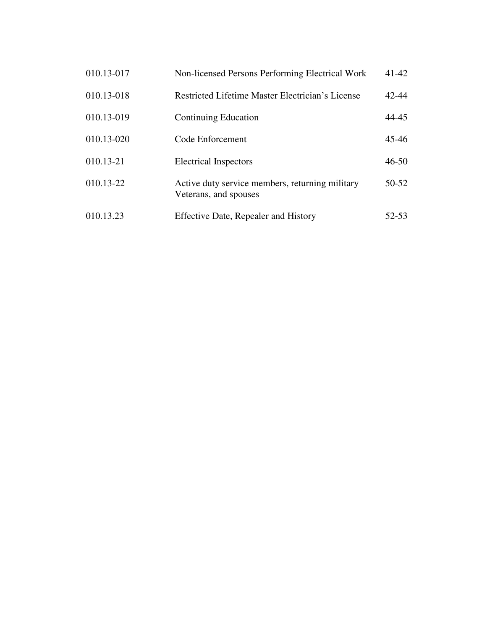| 010.13-017 | Non-licensed Persons Performing Electrical Work                          | $41 - 42$ |
|------------|--------------------------------------------------------------------------|-----------|
| 010.13-018 | Restricted Lifetime Master Electrician's License                         | 42-44     |
| 010.13-019 | <b>Continuing Education</b>                                              | 44-45     |
| 010.13-020 | Code Enforcement                                                         | 45-46     |
| 010.13-21  | <b>Electrical Inspectors</b>                                             | $46 - 50$ |
| 010.13-22  | Active duty service members, returning military<br>Veterans, and spouses | $50-52$   |
| 010.13.23  | <b>Effective Date, Repealer and History</b>                              | 52-53     |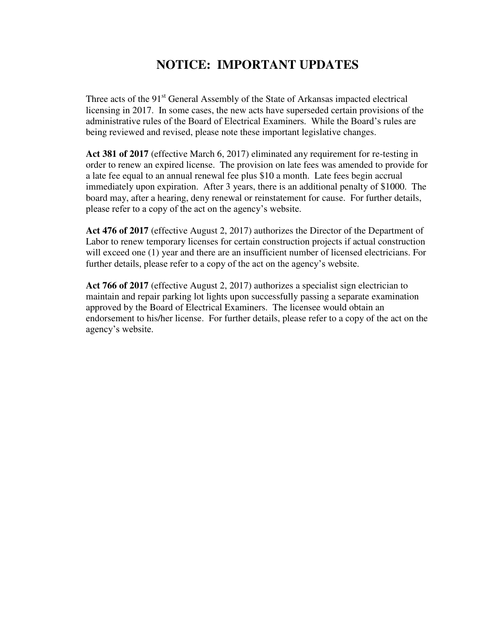# **NOTICE: IMPORTANT UPDATES**

Three acts of the 91<sup>st</sup> General Assembly of the State of Arkansas impacted electrical licensing in 2017. In some cases, the new acts have superseded certain provisions of the administrative rules of the Board of Electrical Examiners. While the Board's rules are being reviewed and revised, please note these important legislative changes.

**Act 381 of 2017** (effective March 6, 2017) eliminated any requirement for re-testing in order to renew an expired license. The provision on late fees was amended to provide for a late fee equal to an annual renewal fee plus \$10 a month. Late fees begin accrual immediately upon expiration. After 3 years, there is an additional penalty of \$1000. The board may, after a hearing, deny renewal or reinstatement for cause. For further details, please refer to a copy of the act on the agency's website.

**Act 476 of 2017** (effective August 2, 2017) authorizes the Director of the Department of Labor to renew temporary licenses for certain construction projects if actual construction will exceed one (1) year and there are an insufficient number of licensed electricians. For further details, please refer to a copy of the act on the agency's website.

**Act 766 of 2017** (effective August 2, 2017) authorizes a specialist sign electrician to maintain and repair parking lot lights upon successfully passing a separate examination approved by the Board of Electrical Examiners. The licensee would obtain an endorsement to his/her license. For further details, please refer to a copy of the act on the agency's website.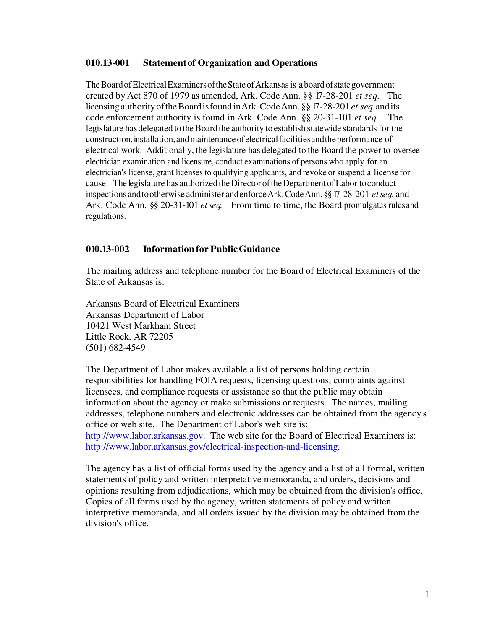#### **010.13-001 Statement of Organization and Operations**

The Board of Electrical Examiners of the State of Arkansas is a board of state government created by Act 870 of 1979 as amended, Ark. Code Ann. §§ 17-28-201 *et seq.* The licensing authority of the Board is found in Ark. Code Ann. §§ 17-28-201 *et seq.* and its code enforcement authority is found in Ark. Code Ann. §§ 20-31-101 *et seq.* The legislature has delegated to the Board the authority to establish statewide standards for the construction, installation, and maintenance of electrical facilities and the performance of electrical work. Additionally, the legislature has delegated to the Board the power to oversee electrician examination and licensure, conduct examinations of persons who apply for an electrician's license, grant licenses to qualifying applicants, and revoke or suspend a license for cause. The legislature has authorized the Director of the Department of Labor to conduct inspections and to otherwise administer and enforce Ark. Code Ann. §§ 17-28-201 *et seq.* and Ark. Code Ann. §§ 20-31-101 *et seq.* From time to time, the Board promulgates rules and regulations.

#### **010.13-002 Information for Public Guidance**

The mailing address and telephone number for the Board of Electrical Examiners of the State of Arkansas is:

Arkansas Board of Electrical Examiners Arkansas Department of Labor 10421 West Markham Street Little Rock, AR 72205 (501) 682-4549

The Department of Labor makes available a list of persons holding certain responsibilities for handling FOIA requests, licensing questions, complaints against licensees, and compliance requests or assistance so that the public may obtain information about the agency or make submissions or requests. The names, mailing addresses, telephone numbers and electronic addresses can be obtained from the agency's office or web site. The Department of Labor's web site is: [http://www.labor.arkansas.gov](http://www.labor.arkansas.gov/). The web site for the Board of Electrical Examiners is: [http://www.labor.arkansas.gov/electrical-inspection-and-l](http://www.labor.arkansas.gov/electrical-inspection-and)icensing.

The agency has a list of official forms used by the agency and a list of all formal, written statements of policy and written interpretative memoranda, and orders, decisions and opinions resulting from adjudications, which may be obtained from the division's office. Copies of all forms used by the agency, written statements of policy and written interpretive memoranda, and all orders issued by the division may be obtained from the division's office.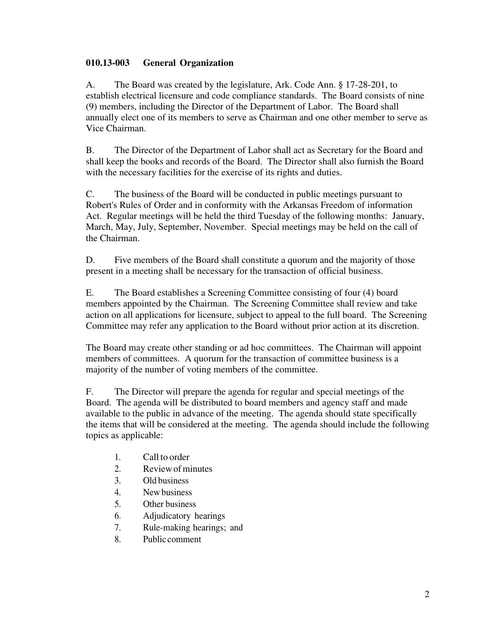### **010.13-003 General Organization**

A. The Board was created by the legislature, Ark. Code Ann. § 17-28-201, to establish electrical licensure and code compliance standards. The Board consists of nine (9) members, including the Director of the Department of Labor. The Board shall annually elect one of its members to serve as Chairman and one other member to serve as Vice Chairman.

B. The Director of the Department of Labor shall act as Secretary for the Board and shall keep the books and records of the Board. The Director shall also furnish the Board with the necessary facilities for the exercise of its rights and duties.

C. The business of the Board will be conducted in public meetings pursuant to Robert's Rules of Order and in conformity with the Arkansas Freedom of information Act. Regular meetings will be held the third Tuesday of the following months: January, March, May, July, September, November. Special meetings may be held on the call of the Chairman.

D. Five members of the Board shall constitute a quorum and the majority of those present in a meeting shall be necessary for the transaction of official business.

E. The Board establishes a Screening Committee consisting of four (4) board members appointed by the Chairman. The Screening Committee shall review and take action on all applications for licensure, subject to appeal to the full board. The Screening Committee may refer any application to the Board without prior action at its discretion.

The Board may create other standing or ad hoc committees. The Chairman will appoint members of committees. A quorum for the transaction of committee business is a majority of the number of voting members of the committee.

F. The Director will prepare the agenda for regular and special meetings of the Board. The agenda will be distributed to board members and agency staff and made available to the public in advance of the meeting. The agenda should state specifically the items that will be considered at the meeting. The agenda should include the following topics as applicable:

- 1. Call to order
- 2. Review of minutes
- 3. Old business
- 4. New business
- 5. Other business
- 6. Adjudicatory hearings
- 7. Rule-making hearings; and
- 8. Public comment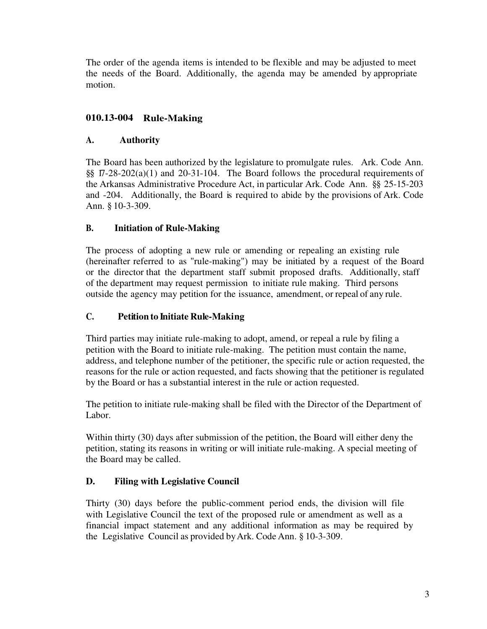The order of the agenda items is intended to be flexible and may be adjusted to meet the needs of the Board. Additionally, the agenda may be amended by appropriate motion.

# **010.13-004 Rule-Making**

# **A. Authority**

The Board has been authorized by the legislature to promulgate rules. Ark. Code Ann. §§ 17-28-202(a)(1) and 20-31-104. The Board follows the procedural requirements of the Arkansas Administrative Procedure Act, in particular Ark. Code Ann. §§ 25-15-203 and -204. Additionally, the Board is required to abide by the provisions of Ark. Code Ann. § 10-3-309.

# **B. Initiation of Rule-Making**

The process of adopting a new rule or amending or repealing an existing rule (hereinafter referred to as "rule-making") may be initiated by a request of the Board or the director that the department staff submit proposed drafts. Additionally, staff of the department may request permission to initiate rule making. Third persons outside the agency may petition for the issuance, amendment, or repeal of any rule.

### **C. Petition to Initiate Rule-Making**

Third parties may initiate rule-making to adopt, amend, or repeal a rule by filing a petition with the Board to initiate rule-making. The petition must contain the name, address, and telephone number of the petitioner, the specific rule or action requested, the reasons for the rule or action requested, and facts showing that the petitioner is regulated by the Board or has a substantial interest in the rule or action requested.

The petition to initiate rule-making shall be filed with the Director of the Department of Labor.

Within thirty (30) days after submission of the petition, the Board will either deny the petition, stating its reasons in writing or will initiate rule-making. A special meeting of the Board may be called.

# **D. Filing with Legislative Council**

Thirty (30) days before the public-comment period ends, the division will file with Legislative Council the text of the proposed rule or amendment as well as a financial impact statement and any additional information as may be required by the Legislative Council as provided by Ark. Code Ann. § 10-3-309.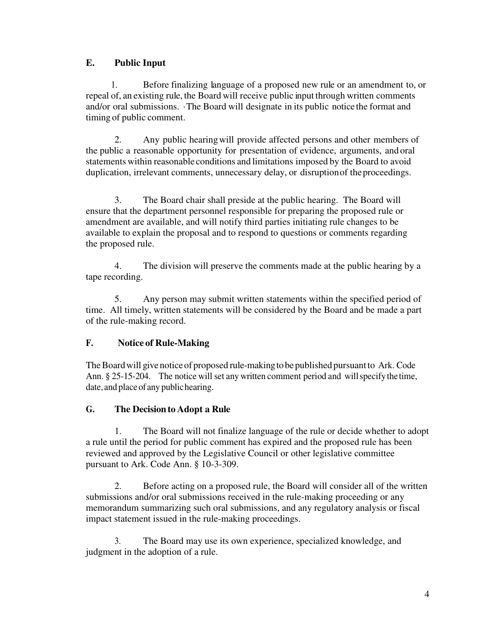# **E. Public Input**

1. Before finalizing language of a proposed new rule or an amendment to, or repeal of, an existing rule, the Board will receive public input through written comments and/or oral submissions. ·The Board will designate in its public notice the format and timing of public comment.

 2. Any public hearing will provide affected persons and other members of the public a reasonable opportunity for presentation of evidence, arguments, and oral statements within reasonable conditions and limitations imposed by the Board to avoid duplication, irrelevant comments, unnecessary delay, or disruption of the proceedings.

 3. The Board chair shall preside at the public hearing. The Board will ensure that the department personnel responsible for preparing the proposed rule or amendment are available, and will notify third parties initiating rule changes to be available to explain the proposal and to respond to questions or comments regarding the proposed rule.

 4. The division will preserve the comments made at the public hearing by a tape recording.

5. Any person may submit written statements within the specified period of time. All timely, written statements will be considered by the Board and be made a part of the rule-making record.

# **F. Notice of Rule-Making**

The Board will give notice of proposed rule-making to be published pursuant to Ark. Code Ann. § 25-15-204. The notice will set any written comment period and will specify the time, date, and place of any public hearing.

# **G. The Decision to Adopt a Rule**

1. The Board will not finalize language of the rule or decide whether to adopt a rule until the period for public comment has expired and the proposed rule has been reviewed and approved by the Legislative Council or other legislative committee pursuant to Ark. Code Ann. § 10-3-309.

2. Before acting on a proposed rule, the Board will consider all of the written submissions and/or oral submissions received in the rule-making proceeding or any memorandum summarizing such oral submissions, and any regulatory analysis or fiscal impact statement issued in the rule-making proceedings.

3. The Board may use its own experience, specialized knowledge, and judgment in the adoption of a rule.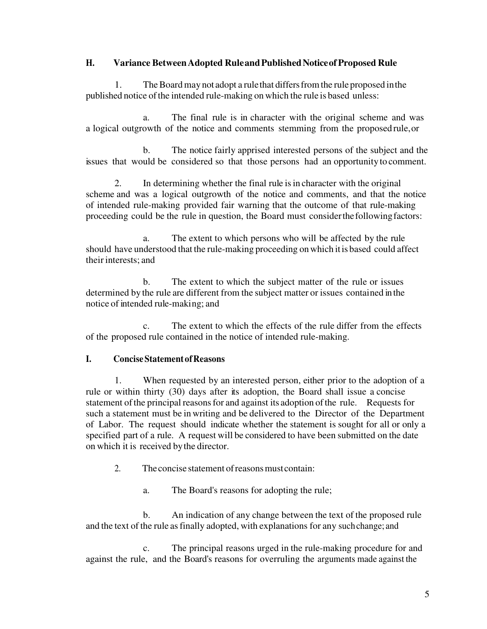### **H. Variance Between Adopted Rule and Published Notice of Proposed Rule**

1. The Board may not adopt a rule that differs from the rule proposed in the published notice of the intended rule-making on which the rule is based unless:

a. The final rule is in character with the original scheme and was a logical outgrowth of the notice and comments stemming from the proposed rule, or

 b. The notice fairly apprised interested persons of the subject and the issues that would be considered so that those persons had an opportunity to comment.

2. In determining whether the final rule is in character with the original scheme and was a logical outgrowth of the notice and comments, and that the notice of intended rule-making provided fair warning that the outcome of that rule-making proceeding could be the rule in question, the Board must consider the following factors:

 a. The extent to which persons who will be affected by the rule should have understood that the rule-making proceeding on which itis based could affect their interests; and

 b. The extent to which the subject matter of the rule or issues determined by the rule are different from the subject matter or issues contained in the notice of intended rule-making; and

 c. The extent to which the effects of the rule differ from the effects of the proposed rule contained in the notice of intended rule-making.

# **I. Concise Statement of Reasons**

 1. When requested by an interested person, either prior to the adoption of a rule or within thirty (30) days after its adoption, the Board shall issue a concise statement of the principal reasons for and against its adoption of the rule. Requests for such a statement must be in writing and be delivered to the Director of the Department of Labor. The request should indicate whether the statement is sought for all or only a specified part of a rule. A request will be considered to have been submitted on the date on which it is received by the director.

2. The concise statement of reasons must contain:

a. The Board's reasons for adopting the rule;

 b. An indication of any change between the text of the proposed rule and the text of the rule as finally adopted, with explanations for any such change; and

 c. The principal reasons urged in the rule-making procedure for and against the rule, and the Board's reasons for overruling the arguments made against the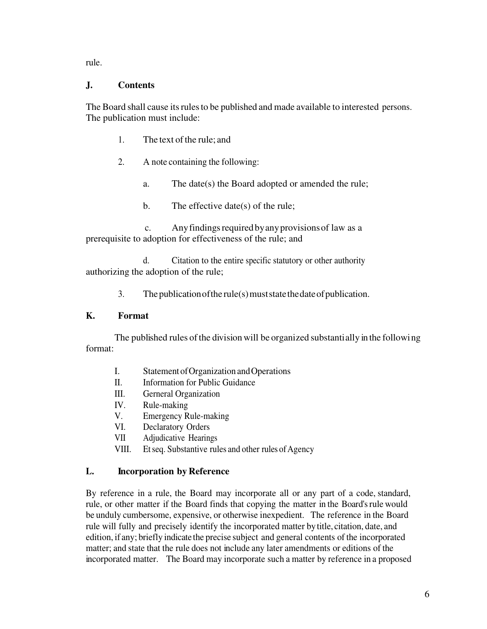rule.

### **J. Contents**

The Board shall cause its rules to be published and made available to interested persons. The publication must include:

- 1. The text of the rule; and
- 2. A note containing the following:
	- a. The date(s) the Board adopted or amended the rule;
	- b. The effective date(s) of the rule;

c. Any findings required by any provisions of law as a prerequisite to adoption for effectiveness of the rule; and

 d. Citation to the entire specific statutory or other authority authorizing the adoption of the rule;

3. The publication of the rule(s) must state the date of publication.

### **K. Format**

 The published rules of the division will be organized substantially in the following format:

- I. Statement of Organization and Operations
- II. Information for Public Guidance
- III. Gerneral Organization
- IV. Rule-making
- V. Emergency Rule-making
- VI. Declaratory Orders
- VII Adjudicative Hearings
- VIII. Et seq. Substantive rules and other rules of Agency

### **L. Incorporation by Reference**

By reference in a rule, the Board may incorporate all or any part of a code, standard, rule, or other matter if the Board finds that copying the matter in the Board's rule would be unduly cumbersome, expensive, or otherwise inexpedient. The reference in the Board rule will fully and precisely identify the incorporated matter by title, citation, date, and edition, if any; briefly indicate the precise subject and general contents of the incorporated matter; and state that the rule does not include any later amendments or editions of the incorporated matter. The Board may incorporate such a matter by reference in a proposed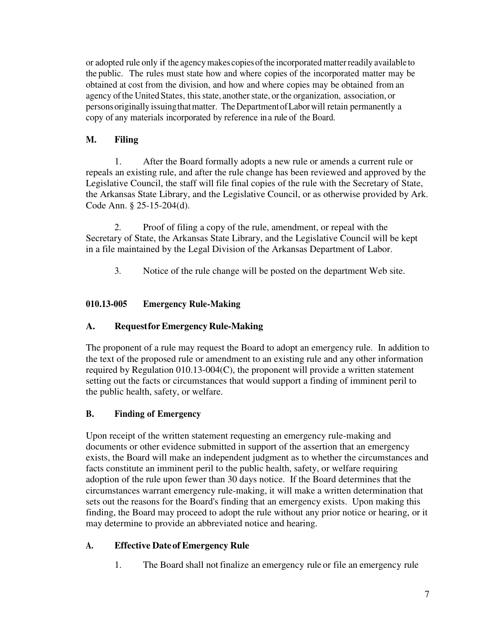or adopted rule only if the agency makes copies of the incorporated matter readily available to the public. The rules must state how and where copies of the incorporated matter may be obtained at cost from the division, and how and where copies may be obtained from an agency of the United States, this state, another state, or the organization, association, or persons originally issuing that matter. The Department of Labor will retain permanently a copy of any materials incorporated by reference in a rule of the Board.

# **M. Filing**

1. After the Board formally adopts a new rule or amends a current rule or repeals an existing rule, and after the rule change has been reviewed and approved by the Legislative Council, the staff will file final copies of the rule with the Secretary of State, the Arkansas State Library, and the Legislative Council, or as otherwise provided by Ark. Code Ann. § 25-15-204(d).

2. Proof of filing a copy of the rule, amendment, or repeal with the Secretary of State, the Arkansas State Library, and the Legislative Council will be kept in a file maintained by the Legal Division of the Arkansas Department of Labor.

3. Notice of the rule change will be posted on the department Web site.

# **010.13-005 Emergency Rule-Making**

# **A. Request for Emergency Rule-Making**

The proponent of a rule may request the Board to adopt an emergency rule. In addition to the text of the proposed rule or amendment to an existing rule and any other information required by Regulation 010.13-004(C), the proponent will provide a written statement setting out the facts or circumstances that would support a finding of imminent peril to the public health, safety, or welfare.

# **B. Finding of Emergency**

Upon receipt of the written statement requesting an emergency rule-making and documents or other evidence submitted in support of the assertion that an emergency exists, the Board will make an independent judgment as to whether the circumstances and facts constitute an imminent peril to the public health, safety, or welfare requiring adoption of the rule upon fewer than 30 days notice. If the Board determines that the circumstances warrant emergency rule-making, it will make a written determination that sets out the reasons for the Board's finding that an emergency exists. Upon making this finding, the Board may proceed to adopt the rule without any prior notice or hearing, or it may determine to provide an abbreviated notice and hearing.

# **A. Effective Date of Emergency Rule**

1. The Board shall not finalize an emergency rule or file an emergency rule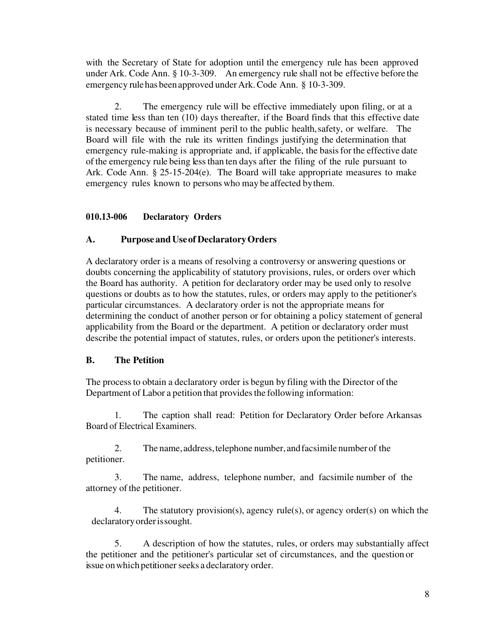with the Secretary of State for adoption until the emergency rule has been approved under Ark. Code Ann. § 10-3-309. An emergency rule shall not be effective before the emergency rule has been approved under Ark. Code Ann. § 10-3-309.

 2. The emergency rule will be effective immediately upon filing, or at a stated time less than ten (10) days thereafter, if the Board finds that this effective date is necessary because of imminent peril to the public health, safety, or welfare. The Board will file with the rule its written findings justifying the determination that emergency rule-making is appropriate and, if applicable, the basis for the effective date of the emergency rule being less than ten days after the filing of the rule pursuant to Ark. Code Ann. § 25-15-204(e). The Board will take appropriate measures to make emergency rules known to persons who may be affected by them.

# **010.13-006 Declaratory Orders**

# **A. Purpose and Use of Declaratory Orders**

A declaratory order is a means of resolving a controversy or answering questions or doubts concerning the applicability of statutory provisions, rules, or orders over which the Board has authority. A petition for declaratory order may be used only to resolve questions or doubts as to how the statutes, rules, or orders may apply to the petitioner's particular circumstances. A declaratory order is not the appropriate means for determining the conduct of another person or for obtaining a policy statement of general applicability from the Board or the department. A petition or declaratory order must describe the potential impact of statutes, rules, or orders upon the petitioner's interests.

### **B. The Petition**

The process to obtain a declaratory order is begun by filing with the Director of the Department of Labor a petition that provides the following information:

1. The caption shall read: Petition for Declaratory Order before Arkansas Board of Electrical Examiners.

2. The name, address, telephone number, and facsimile number of the petitioner.

3. The name, address, telephone number, and facsimile number of the attorney of the petitioner.

 4. The statutory provision(s), agency rule(s), or agency order(s) on which the declaratory order is sought.

 5. A description of how the statutes, rules, or orders may substantially affect the petitioner and the petitioner's particular set of circumstances, and the question or issue on which petitioner seeks a declaratory order.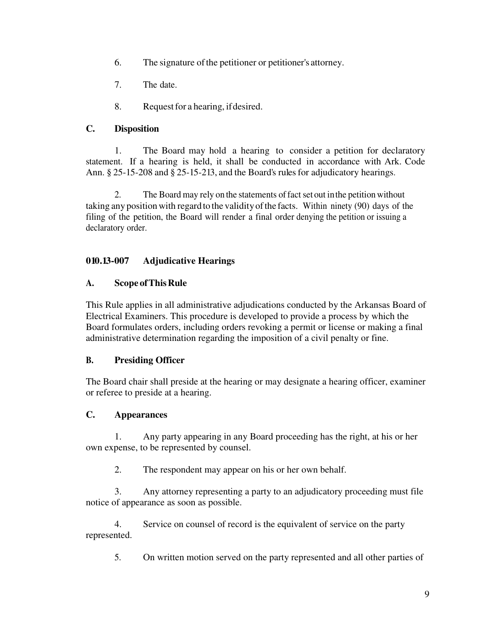- 6. The signature of the petitioner or petitioner's attorney.
- 7. The date.
- 8. Request for a hearing, if desired.

### **C. Disposition**

 1. The Board may hold a hearing to consider a petition for declaratory statement. If a hearing is held, it shall be conducted in accordance with Ark. Code Ann. § 25-15-208 and § 25-15-213, and the Board's rules for adjudicatory hearings.

2. The Board may rely on the statements of fact set out in the petition without taking any position with regard to the validity of the facts. Within ninety (90) days of the filing of the petition, the Board will render a final order denying the petition or issuing a declaratory order.

# **010.13-007 Adjudicative Hearings**

# **A. Scope of This Rule**

This Rule applies in all administrative adjudications conducted by the Arkansas Board of Electrical Examiners. This procedure is developed to provide a process by which the Board formulates orders, including orders revoking a permit or license or making a final administrative determination regarding the imposition of a civil penalty or fine.

# **B. Presiding Officer**

The Board chair shall preside at the hearing or may designate a hearing officer, examiner or referee to preside at a hearing.

# **C. Appearances**

 1. Any party appearing in any Board proceeding has the right, at his or her own expense, to be represented by counsel.

2. The respondent may appear on his or her own behalf.

 3. Any attorney representing a party to an adjudicatory proceeding must file notice of appearance as soon as possible.

 4. Service on counsel of record is the equivalent of service on the party represented.

5. On written motion served on the party represented and all other parties of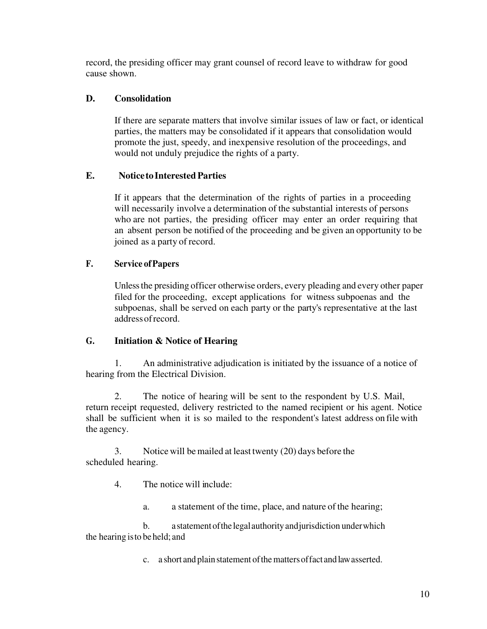record, the presiding officer may grant counsel of record leave to withdraw for good cause shown.

# **D. Consolidation**

If there are separate matters that involve similar issues of law or fact, or identical parties, the matters may be consolidated if it appears that consolidation would promote the just, speedy, and inexpensive resolution of the proceedings, and would not unduly prejudice the rights of a party.

# **E. Notice to Interested Parties**

If it appears that the determination of the rights of parties in a proceeding will necessarily involve a determination of the substantial interests of persons who are not parties, the presiding officer may enter an order requiring that an absent person be notified of the proceeding and be given an opportunity to be joined as a party of record.

# **F. Service of Papers**

Unless the presiding officer otherwise orders, every pleading and every other paper filed for the proceeding, except applications for witness subpoenas and the subpoenas, shall be served on each party or the party's representative at the last address of record.

### **G. Initiation & Notice of Hearing**

1. An administrative adjudication is initiated by the issuance of a notice of hearing from the Electrical Division.

 2. The notice of hearing will be sent to the respondent by U.S. Mail, return receipt requested, delivery restricted to the named recipient or his agent. Notice shall be sufficient when it is so mailed to the respondent's latest address on file with the agency.

 3. Notice will be mailed at least twenty (20) days before the scheduled hearing.

4. The notice will include:

a. a statement of the time, place, and nature of the hearing;

 b. a statement of the legal authority and jurisdiction under which the hearing isto be held; and

c. a short and plain statement of the matters of fact and law asserted.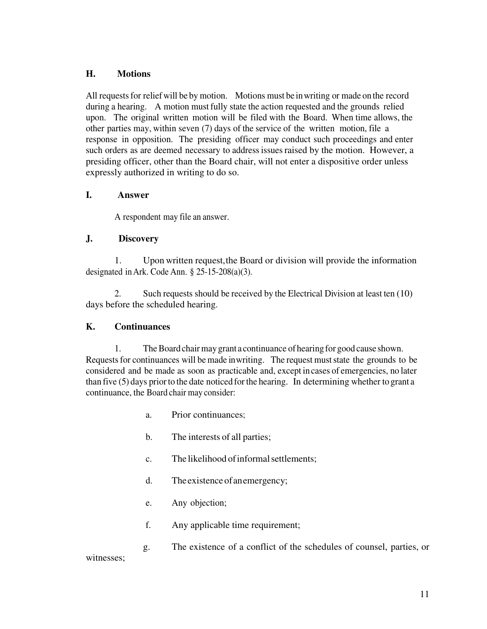### **H. Motions**

All requests for relief will be by motion. Motions must be in writing or made on the record during a hearing. A motion must fully state the action requested and the grounds relied upon. The original written motion will be filed with the Board. When time allows, the other parties may, within seven (7) days of the service of the written motion, file a response in opposition. The presiding officer may conduct such proceedings and enter such orders as are deemed necessary to address issues raised by the motion. However, a presiding officer, other than the Board chair, will not enter a dispositive order unless expressly authorized in writing to do so.

### **I. Answer**

A respondent may file an answer.

### **J. Discovery**

 1. Upon written request, the Board or division will provide the information designated in Ark. Code Ann.  $\S$  25-15-208(a)(3).

2. Such requests should be received by the Electrical Division at least ten (10) days before the scheduled hearing.

### **K. Continuances**

1. The Board chair may grant a continuance of hearing for good cause shown. Requests for continuances will be made in writing. The request must state the grounds to be considered and be made as soon as practicable and, except in cases of emergencies, no later than five (5) days prior to the date noticed for the hearing. In determining whether to grant a continuance, the Board chair may consider:

- a. Prior continuances;
- b. The interests of all parties;
- c. The likelihood of informal settlements;
- d. The existence of an emergency;
- e. Any objection;
- f. Any applicable time requirement;
- g. The existence of a conflict of the schedules of counsel, parties, or

#### witnesses;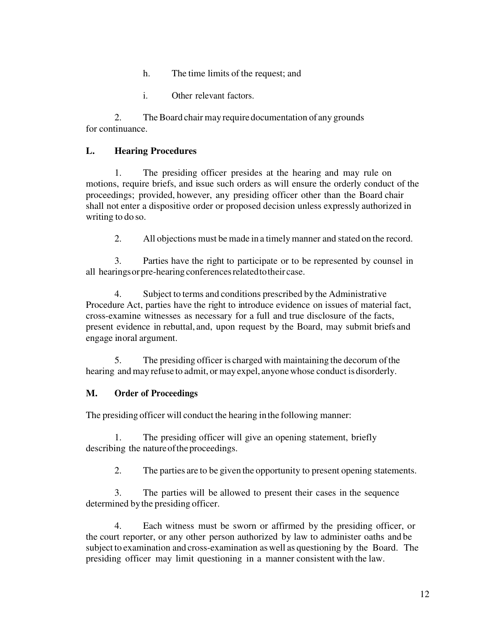- h. The time limits of the request; and
- i. Other relevant factors.

 2. The Board chair may require documentation of any grounds for continuance.

### **L. Hearing Procedures**

 1. The presiding officer presides at the hearing and may rule on motions, require briefs, and issue such orders as will ensure the orderly conduct of the proceedings; provided, however, any presiding officer other than the Board chair shall not enter a dispositive order or proposed decision unless expressly authorized in writing to do so.

2. All objections must be made in a timely manner and stated on the record.

3. Parties have the right to participate or to be represented by counsel in all hearings or pre-hearing conferences related to their case.

 4. Subject to terms and conditions prescribed by the Administrative Procedure Act, parties have the right to introduce evidence on issues of material fact, cross-examine witnesses as necessary for a full and true disclosure of the facts, present evidence in rebuttal, and, upon request by the Board, may submit briefs and engage in oral argument.

 5. The presiding officer is charged with maintaining the decorum of the hearing and may refuse to admit, or may expel, anyone whose conduct is disorderly.

#### **M. Order of Proceedings**

The presiding officer will conduct the hearing in the following manner:

 1. The presiding officer will give an opening statement, briefly describing the nature of the proceedings.

2. The parties are to be given the opportunity to present opening statements.

 3. The parties will be allowed to present their cases in the sequence determined by the presiding officer.

 4. Each witness must be sworn or affirmed by the presiding officer, or the court reporter, or any other person authorized by law to administer oaths and be subject to examination and cross-examination as well as questioning by the Board. The presiding officer may limit questioning in a manner consistent with the law.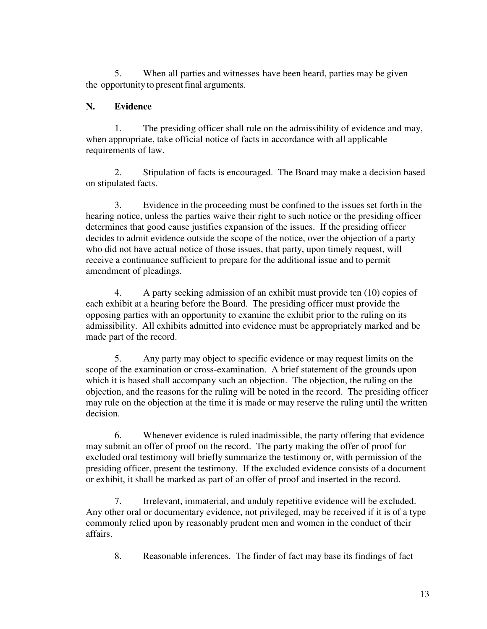5. When all parties and witnesses have been heard, parties may be given the opportunity to present final arguments.

### **N. Evidence**

 1. The presiding officer shall rule on the admissibility of evidence and may, when appropriate, take official notice of facts in accordance with all applicable requirements of law.

 2. Stipulation of facts is encouraged. The Board may make a decision based on stipulated facts.

 3. Evidence in the proceeding must be confined to the issues set forth in the hearing notice, unless the parties waive their right to such notice or the presiding officer determines that good cause justifies expansion of the issues. If the presiding officer decides to admit evidence outside the scope of the notice, over the objection of a party who did not have actual notice of those issues, that party, upon timely request, will receive a continuance sufficient to prepare for the additional issue and to permit amendment of pleadings.

 4. A party seeking admission of an exhibit must provide ten (10) copies of each exhibit at a hearing before the Board. The presiding officer must provide the opposing parties with an opportunity to examine the exhibit prior to the ruling on its admissibility. All exhibits admitted into evidence must be appropriately marked and be made part of the record.

 5. Any party may object to specific evidence or may request limits on the scope of the examination or cross-examination. A brief statement of the grounds upon which it is based shall accompany such an objection. The objection, the ruling on the objection, and the reasons for the ruling will be noted in the record. The presiding officer may rule on the objection at the time it is made or may reserve the ruling until the written decision.

 6. Whenever evidence is ruled inadmissible, the party offering that evidence may submit an offer of proof on the record. The party making the offer of proof for excluded oral testimony will briefly summarize the testimony or, with permission of the presiding officer, present the testimony. If the excluded evidence consists of a document or exhibit, it shall be marked as part of an offer of proof and inserted in the record.

 7. Irrelevant, immaterial, and unduly repetitive evidence will be excluded. Any other oral or documentary evidence, not privileged, may be received if it is of a type commonly relied upon by reasonably prudent men and women in the conduct of their affairs.

8. Reasonable inferences. The finder of fact may base its findings of fact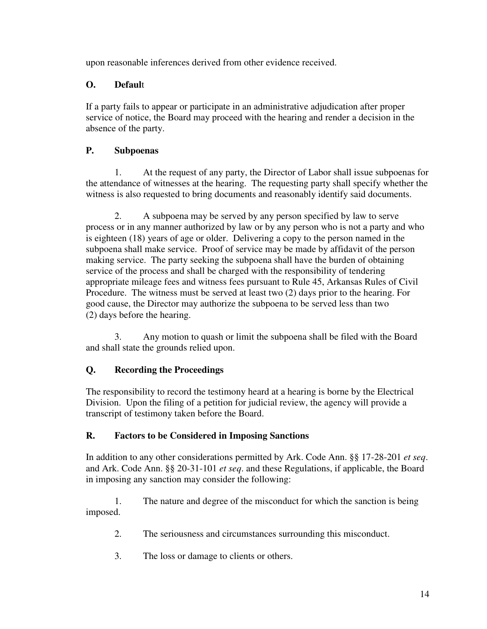upon reasonable inferences derived from other evidence received.

# **O. Defaul**t

If a party fails to appear or participate in an administrative adjudication after proper service of notice, the Board may proceed with the hearing and render a decision in the absence of the party.

# **P. Subpoenas**

 1. At the request of any party, the Director of Labor shall issue subpoenas for the attendance of witnesses at the hearing. The requesting party shall specify whether the witness is also requested to bring documents and reasonably identify said documents.

 2. A subpoena may be served by any person specified by law to serve process or in any manner authorized by law or by any person who is not a party and who is eighteen (18) years of age or older. Delivering a copy to the person named in the subpoena shall make service. Proof of service may be made by affidavit of the person making service. The party seeking the subpoena shall have the burden of obtaining service of the process and shall be charged with the responsibility of tendering appropriate mileage fees and witness fees pursuant to Rule 45, Arkansas Rules of Civil Procedure. The witness must be served at least two (2) days prior to the hearing. For good cause, the Director may authorize the subpoena to be served less than two (2) days before the hearing.

 3. Any motion to quash or limit the subpoena shall be filed with the Board and shall state the grounds relied upon.

# **Q. Recording the Proceedings**

The responsibility to record the testimony heard at a hearing is borne by the Electrical Division. Upon the filing of a petition for judicial review, the agency will provide a transcript of testimony taken before the Board.

# **R. Factors to be Considered in Imposing Sanctions**

In addition to any other considerations permitted by Ark. Code Ann. §§ 17-28-201 *et seq*. and Ark. Code Ann. §§ 20-31-101 *et seq*. and these Regulations, if applicable, the Board in imposing any sanction may consider the following:

 1. The nature and degree of the misconduct for which the sanction is being imposed.

- 2. The seriousness and circumstances surrounding this misconduct.
- 3. The loss or damage to clients or others.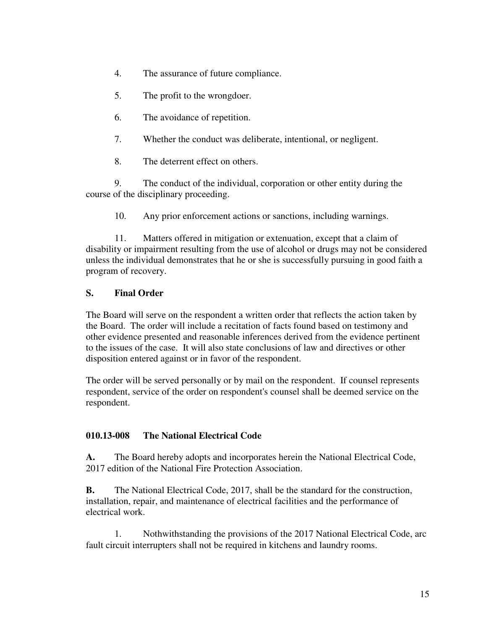- 4. The assurance of future compliance.
- 5. The profit to the wrongdoer.
- 6. The avoidance of repetition.
- 7. Whether the conduct was deliberate, intentional, or negligent.
- 8. The deterrent effect on others.

 9. The conduct of the individual, corporation or other entity during the course of the disciplinary proceeding.

10. Any prior enforcement actions or sanctions, including warnings.

 11. Matters offered in mitigation or extenuation, except that a claim of disability or impairment resulting from the use of alcohol or drugs may not be considered unless the individual demonstrates that he or she is successfully pursuing in good faith a program of recovery.

# **S. Final Order**

The Board will serve on the respondent a written order that reflects the action taken by the Board. The order will include a recitation of facts found based on testimony and other evidence presented and reasonable inferences derived from the evidence pertinent to the issues of the case. It will also state conclusions of law and directives or other disposition entered against or in favor of the respondent.

The order will be served personally or by mail on the respondent. If counsel represents respondent, service of the order on respondent's counsel shall be deemed service on the respondent.

# **010.13-008 The National Electrical Code**

**A.** The Board hereby adopts and incorporates herein the National Electrical Code, 2017 edition of the National Fire Protection Association.

**B.** The National Electrical Code, 2017, shall be the standard for the construction, installation, repair, and maintenance of electrical facilities and the performance of electrical work.

 1. Nothwithstanding the provisions of the 2017 National Electrical Code, arc fault circuit interrupters shall not be required in kitchens and laundry rooms.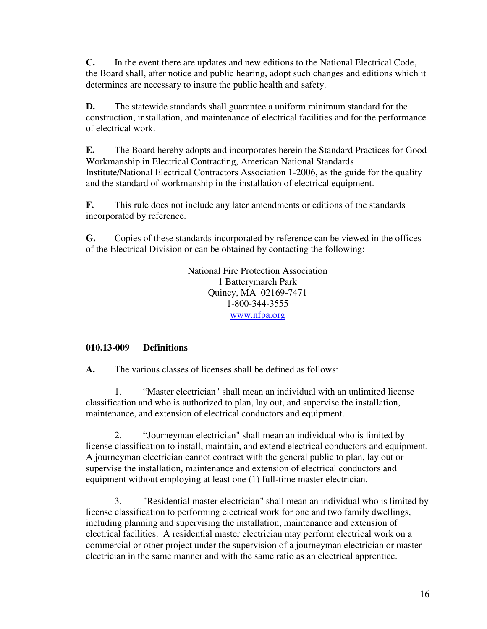**C.** In the event there are updates and new editions to the National Electrical Code, the Board shall, after notice and public hearing, adopt such changes and editions which it determines are necessary to insure the public health and safety.

**D.** The statewide standards shall guarantee a uniform minimum standard for the construction, installation, and maintenance of electrical facilities and for the performance of electrical work.

**E.** The Board hereby adopts and incorporates herein the Standard Practices for Good Workmanship in Electrical Contracting, American National Standards Institute/National Electrical Contractors Association 1-2006, as the guide for the quality and the standard of workmanship in the installation of electrical equipment.

**F.** This rule does not include any later amendments or editions of the standards incorporated by reference.

**G.** Copies of these standards incorporated by reference can be viewed in the offices of the Electrical Division or can be obtained by contacting the following:

> National Fire Protection Association 1 Batterymarch Park Quincy, MA 02169-7471 1-800-344-3555 [www.nfpa.org](http://www.nfpa.org/)

# **010.13-009 Definitions**

**A.** The various classes of licenses shall be defined as follows:

 1. "Master electrician" shall mean an individual with an unlimited license classification and who is authorized to plan, lay out, and supervise the installation, maintenance, and extension of electrical conductors and equipment.

 2. "Journeyman electrician" shall mean an individual who is limited by license classification to install, maintain, and extend electrical conductors and equipment. A journeyman electrician cannot contract with the general public to plan, lay out or supervise the installation, maintenance and extension of electrical conductors and equipment without employing at least one (1) full-time master electrician.

 3. "Residential master electrician" shall mean an individual who is limited by license classification to performing electrical work for one and two family dwellings, including planning and supervising the installation, maintenance and extension of electrical facilities. A residential master electrician may perform electrical work on a commercial or other project under the supervision of a journeyman electrician or master electrician in the same manner and with the same ratio as an electrical apprentice.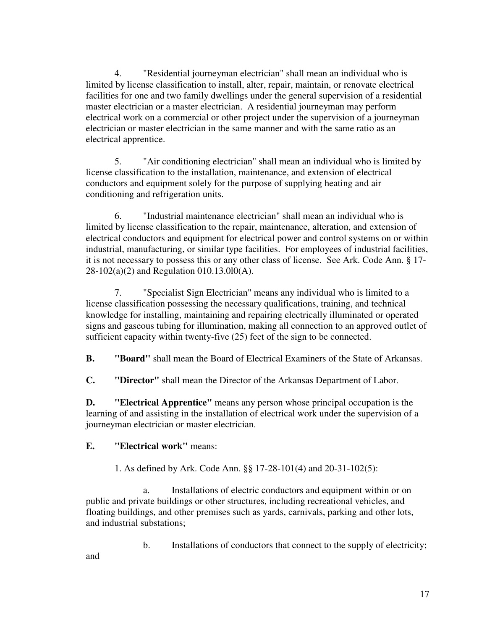4. "Residential journeyman electrician" shall mean an individual who is limited by license classification to install, alter, repair, maintain, or renovate electrical facilities for one and two family dwellings under the general supervision of a residential master electrician or a master electrician. A residential journeyman may perform electrical work on a commercial or other project under the supervision of a journeyman electrician or master electrician in the same manner and with the same ratio as an electrical apprentice.

 5. "Air conditioning electrician" shall mean an individual who is limited by license classification to the installation, maintenance, and extension of electrical conductors and equipment solely for the purpose of supplying heating and air conditioning and refrigeration units.

 6. "Industrial maintenance electrician" shall mean an individual who is limited by license classification to the repair, maintenance, alteration, and extension of electrical conductors and equipment for electrical power and control systems on or within industrial, manufacturing, or similar type facilities. For employees of industrial facilities, it is not necessary to possess this or any other class of license. See Ark. Code Ann. § 17- 28-102(a)(2) and Regulation 010.13.0l0(A).

 7. "Specialist Sign Electrician" means any individual who is limited to a license classification possessing the necessary qualifications, training, and technical knowledge for installing, maintaining and repairing electrically illuminated or operated signs and gaseous tubing for illumination, making all connection to an approved outlet of sufficient capacity within twenty-five (25) feet of the sign to be connected.

**B. "Board"** shall mean the Board of Electrical Examiners of the State of Arkansas.

**C. "Director"** shall mean the Director of the Arkansas Department of Labor.

**D. "Electrical Apprentice"** means any person whose principal occupation is the learning of and assisting in the installation of electrical work under the supervision of a journeyman electrician or master electrician.

### **E. "Electrical work"** means:

1. As defined by Ark. Code Ann. §§ 17-28-101(4) and 20-31-102(5):

 a. Installations of electric conductors and equipment within or on public and private buildings or other structures, including recreational vehicles, and floating buildings, and other premises such as yards, carnivals, parking and other lots, and industrial substations;

b. Installations of conductors that connect to the supply of electricity;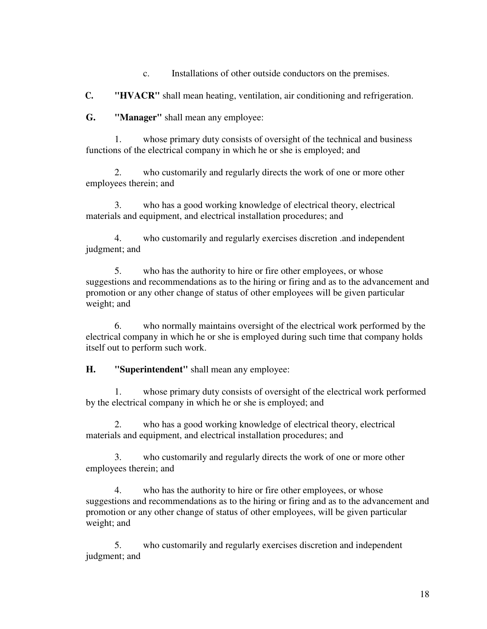c. Installations of other outside conductors on the premises.

**C. "HVACR"** shall mean heating, ventilation, air conditioning and refrigeration.

**G. "Manager"** shall mean any employee:

 1. whose primary duty consists of oversight of the technical and business functions of the electrical company in which he or she is employed; and

 2. who customarily and regularly directs the work of one or more other employees therein; and

 3. who has a good working knowledge of electrical theory, electrical materials and equipment, and electrical installation procedures; and

 4. who customarily and regularly exercises discretion .and independent judgment; and

 5. who has the authority to hire or fire other employees, or whose suggestions and recommendations as to the hiring or firing and as to the advancement and promotion or any other change of status of other employees will be given particular weight; and

 6. who normally maintains oversight of the electrical work performed by the electrical company in which he or she is employed during such time that company holds itself out to perform such work.

**H. "Superintendent"** shall mean any employee:

 1. whose primary duty consists of oversight of the electrical work performed by the electrical company in which he or she is employed; and

 2. who has a good working knowledge of electrical theory, electrical materials and equipment, and electrical installation procedures; and

 3. who customarily and regularly directs the work of one or more other employees therein; and

 4. who has the authority to hire or fire other employees, or whose suggestions and recommendations as to the hiring or firing and as to the advancement and promotion or any other change of status of other employees, will be given particular weight; and

 5. who customarily and regularly exercises discretion and independent judgment; and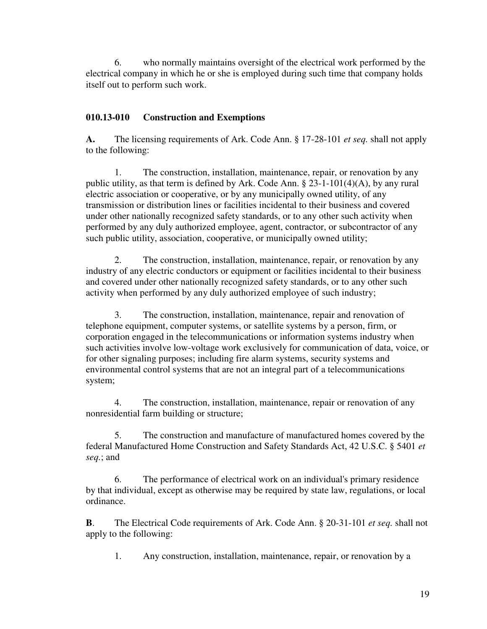6. who normally maintains oversight of the electrical work performed by the electrical company in which he or she is employed during such time that company holds itself out to perform such work.

# **010.13-010 Construction and Exemptions**

**A.** The licensing requirements of Ark. Code Ann. § 17-28-101 *et seq.* shall not apply to the following:

 1. The construction, installation, maintenance, repair, or renovation by any public utility, as that term is defined by Ark. Code Ann. § 23-1-101(4)(A), by any rural electric association or cooperative, or by any municipally owned utility, of any transmission or distribution lines or facilities incidental to their business and covered under other nationally recognized safety standards, or to any other such activity when performed by any duly authorized employee, agent, contractor, or subcontractor of any such public utility, association, cooperative, or municipally owned utility;

 2. The construction, installation, maintenance, repair, or renovation by any industry of any electric conductors or equipment or facilities incidental to their business and covered under other nationally recognized safety standards, or to any other such activity when performed by any duly authorized employee of such industry;

 3. The construction, installation, maintenance, repair and renovation of telephone equipment, computer systems, or satellite systems by a person, firm, or corporation engaged in the telecommunications or information systems industry when such activities involve low-voltage work exclusively for communication of data, voice, or for other signaling purposes; including fire alarm systems, security systems and environmental control systems that are not an integral part of a telecommunications system;

 4. The construction, installation, maintenance, repair or renovation of any nonresidential farm building or structure;

 5. The construction and manufacture of manufactured homes covered by the federal Manufactured Home Construction and Safety Standards Act, 42 U.S.C. § 5401 *et seq.*; and

 6. The performance of electrical work on an individual's primary residence by that individual, except as otherwise may be required by state law, regulations, or local ordinance.

**B**. The Electrical Code requirements of Ark. Code Ann. § 20-31-101 *et seq.* shall not apply to the following:

1. Any construction, installation, maintenance, repair, or renovation by a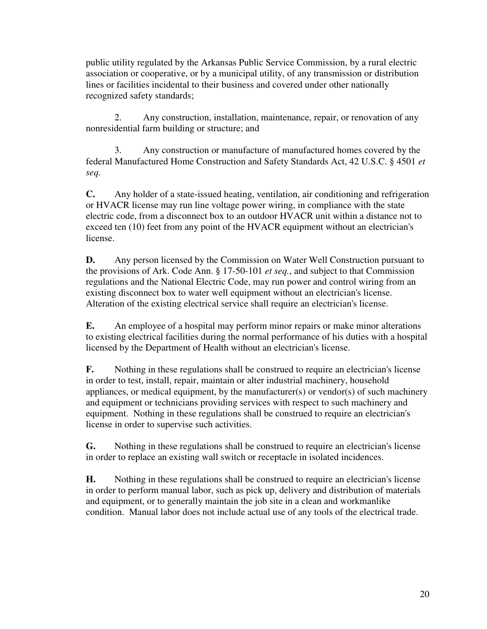public utility regulated by the Arkansas Public Service Commission, by a rural electric association or cooperative, or by a municipal utility, of any transmission or distribution lines or facilities incidental to their business and covered under other nationally recognized safety standards;

 2. Any construction, installation, maintenance, repair, or renovation of any nonresidential farm building or structure; and

 3. Any construction or manufacture of manufactured homes covered by the federal Manufactured Home Construction and Safety Standards Act, 42 U.S.C. § 4501 *et seq.*

**C.** Any holder of a state-issued heating, ventilation, air conditioning and refrigeration or HVACR license may run line voltage power wiring, in compliance with the state electric code, from a disconnect box to an outdoor HVACR unit within a distance not to exceed ten (10) feet from any point of the HVACR equipment without an electrician's license.

**D.** Any person licensed by the Commission on Water Well Construction pursuant to the provisions of Ark. Code Ann. § 17-50-101 *et seq.*, and subject to that Commission regulations and the National Electric Code, may run power and control wiring from an existing disconnect box to water well equipment without an electrician's license. Alteration of the existing electrical service shall require an electrician's license.

**E.** An employee of a hospital may perform minor repairs or make minor alterations to existing electrical facilities during the normal performance of his duties with a hospital licensed by the Department of Health without an electrician's license.

**F.** Nothing in these regulations shall be construed to require an electrician's license in order to test, install, repair, maintain or alter industrial machinery, household appliances, or medical equipment, by the manufacturer(s) or vendor(s) of such machinery and equipment or technicians providing services with respect to such machinery and equipment. Nothing in these regulations shall be construed to require an electrician's license in order to supervise such activities.

**G.** Nothing in these regulations shall be construed to require an electrician's license in order to replace an existing wall switch or receptacle in isolated incidences.

**H.** Nothing in these regulations shall be construed to require an electrician's license in order to perform manual labor, such as pick up, delivery and distribution of materials and equipment, or to generally maintain the job site in a clean and workmanlike condition. Manual labor does not include actual use of any tools of the electrical trade.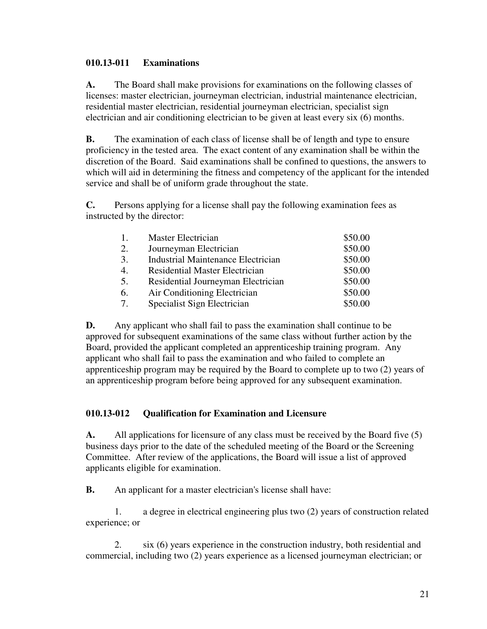### **010.13-011 Examinations**

**A.** The Board shall make provisions for examinations on the following classes of licenses: master electrician, journeyman electrician, industrial maintenance electrician, residential master electrician, residential journeyman electrician, specialist sign electrician and air conditioning electrician to be given at least every six (6) months.

**B.** The examination of each class of license shall be of length and type to ensure proficiency in the tested area. The exact content of any examination shall be within the discretion of the Board. Said examinations shall be confined to questions, the answers to which will aid in determining the fitness and competency of the applicant for the intended service and shall be of uniform grade throughout the state.

**C.** Persons applying for a license shall pay the following examination fees as instructed by the director:

| 1. | Master Electrician                        | \$50.00 |
|----|-------------------------------------------|---------|
| 2. | Journeyman Electrician                    | \$50.00 |
| 3. | <b>Industrial Maintenance Electrician</b> | \$50.00 |
| 4. | <b>Residential Master Electrician</b>     | \$50.00 |
| 5. | Residential Journeyman Electrician        | \$50.00 |
| 6. | Air Conditioning Electrician              | \$50.00 |
| 7. | Specialist Sign Electrician               | \$50.00 |

**D.** Any applicant who shall fail to pass the examination shall continue to be approved for subsequent examinations of the same class without further action by the Board, provided the applicant completed an apprenticeship training program. Any applicant who shall fail to pass the examination and who failed to complete an apprenticeship program may be required by the Board to complete up to two (2) years of an apprenticeship program before being approved for any subsequent examination.

### **010.13-012 Qualification for Examination and Licensure**

**A.** All applications for licensure of any class must be received by the Board five (5) business days prior to the date of the scheduled meeting of the Board or the Screening Committee. After review of the applications, the Board will issue a list of approved applicants eligible for examination.

**B.** An applicant for a master electrician's license shall have:

 1. a degree in electrical engineering plus two (2) years of construction related experience; or

 2. six (6) years experience in the construction industry, both residential and commercial, including two (2) years experience as a licensed journeyman electrician; or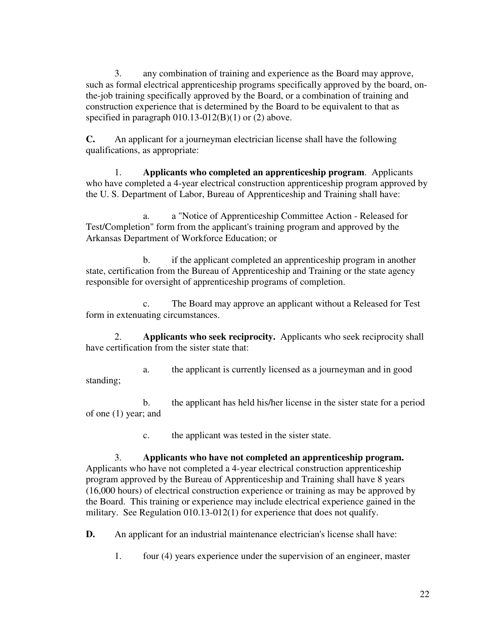3. any combination of training and experience as the Board may approve, such as formal electrical apprenticeship programs specifically approved by the board, onthe-job training specifically approved by the Board, or a combination of training and construction experience that is determined by the Board to be equivalent to that as specified in paragraph  $010.13-012(B)(1)$  or  $(2)$  above.

**C.** An applicant for a journeyman electrician license shall have the following qualifications, as appropriate:

 1. **Applicants who completed an apprenticeship program**. Applicants who have completed a 4-year electrical construction apprenticeship program approved by the U. S. Department of Labor, Bureau of Apprenticeship and Training shall have:

 a. a "Notice of Apprenticeship Committee Action - Released for Test/Completion" form from the applicant's training program and approved by the Arkansas Department of Workforce Education; or

 b. if the applicant completed an apprenticeship program in another state, certification from the Bureau of Apprenticeship and Training or the state agency responsible for oversight of apprenticeship programs of completion.

 c. The Board may approve an applicant without a Released for Test form in extenuating circumstances.

 2. **Applicants who seek reciprocity.** Applicants who seek reciprocity shall have certification from the sister state that:

 a. the applicant is currently licensed as a journeyman and in good standing;

 b. the applicant has held his/her license in the sister state for a period of one (1) year; and

c. the applicant was tested in the sister state.

3. **Applicants who have not completed an apprenticeship program.**  Applicants who have not completed a 4-year electrical construction apprenticeship program approved by the Bureau of Apprenticeship and Training shall have 8 years (16,000 hours) of electrical construction experience or training as may be approved by the Board. This training or experience may include electrical experience gained in the military. See Regulation 010.13-012(1) for experience that does not qualify.

**D.** An applicant for an industrial maintenance electrician's license shall have:

1. four (4) years experience under the supervision of an engineer, master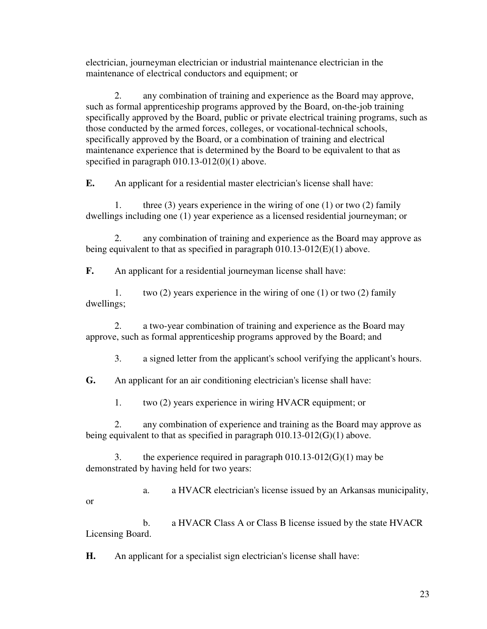electrician, journeyman electrician or industrial maintenance electrician in the maintenance of electrical conductors and equipment; or

 2. any combination of training and experience as the Board may approve, such as formal apprenticeship programs approved by the Board, on-the-job training specifically approved by the Board, public or private electrical training programs, such as those conducted by the armed forces, colleges, or vocational-technical schools, specifically approved by the Board, or a combination of training and electrical maintenance experience that is determined by the Board to be equivalent to that as specified in paragraph 010.13-012(0)(1) above.

**E.** An applicant for a residential master electrician's license shall have:

 1. three (3) years experience in the wiring of one (1) or two (2) family dwellings including one (1) year experience as a licensed residential journeyman; or

 2. any combination of training and experience as the Board may approve as being equivalent to that as specified in paragraph 010.13-012(E)(1) above.

**F.** An applicant for a residential journeyman license shall have:

 1. two (2) years experience in the wiring of one (1) or two (2) family dwellings;

 2. a two-year combination of training and experience as the Board may approve, such as formal apprenticeship programs approved by the Board; and

3. a signed letter from the applicant's school verifying the applicant's hours.

**G.** An applicant for an air conditioning electrician's license shall have:

1. two (2) years experience in wiring HVACR equipment; or

 2. any combination of experience and training as the Board may approve as being equivalent to that as specified in paragraph 010.13-012(G)(1) above.

 3. the experience required in paragraph 010.13-012(G)(1) may be demonstrated by having held for two years:

 a. a HVACR electrician's license issued by an Arkansas municipality, or

 b. a HVACR Class A or Class B license issued by the state HVACR Licensing Board.

**H.** An applicant for a specialist sign electrician's license shall have: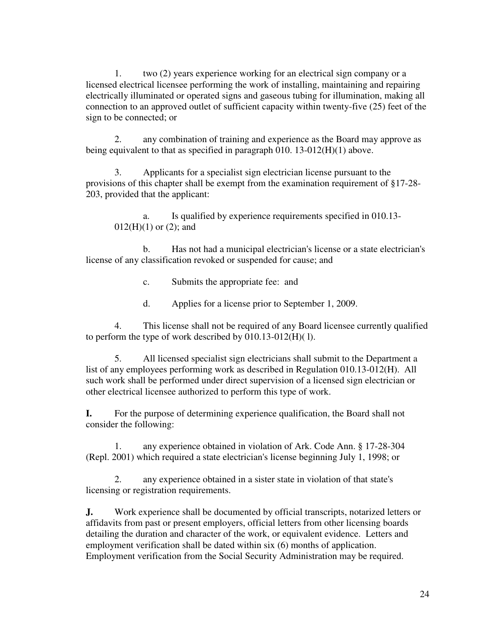1. two (2) years experience working for an electrical sign company or a licensed electrical licensee performing the work of installing, maintaining and repairing electrically illuminated or operated signs and gaseous tubing for illumination, making all connection to an approved outlet of sufficient capacity within twenty-five (25) feet of the sign to be connected; or

 2. any combination of training and experience as the Board may approve as being equivalent to that as specified in paragraph 010. 13-012(H)(1) above.

 3. Applicants for a specialist sign electrician license pursuant to the provisions of this chapter shall be exempt from the examination requirement of §17-28- 203, provided that the applicant:

a. Is qualified by experience requirements specified in 010.13-  $012(H)(1)$  or  $(2)$ ; and

 b. Has not had a municipal electrician's license or a state electrician's license of any classification revoked or suspended for cause; and

c. Submits the appropriate fee: and

d. Applies for a license prior to September 1, 2009.

 4. This license shall not be required of any Board licensee currently qualified to perform the type of work described by 010.13-012(H)( l).

 5. All licensed specialist sign electricians shall submit to the Department a list of any employees performing work as described in Regulation 010.13-012(H). All such work shall be performed under direct supervision of a licensed sign electrician or other electrical licensee authorized to perform this type of work.

**I.** For the purpose of determining experience qualification, the Board shall not consider the following:

 1. any experience obtained in violation of Ark. Code Ann. § 17-28-304 (Repl. 2001) which required a state electrician's license beginning July 1, 1998; or

 2. any experience obtained in a sister state in violation of that state's licensing or registration requirements.

**J.** Work experience shall be documented by official transcripts, notarized letters or affidavits from past or present employers, official letters from other licensing boards detailing the duration and character of the work, or equivalent evidence. Letters and employment verification shall be dated within six (6) months of application. Employment verification from the Social Security Administration may be required.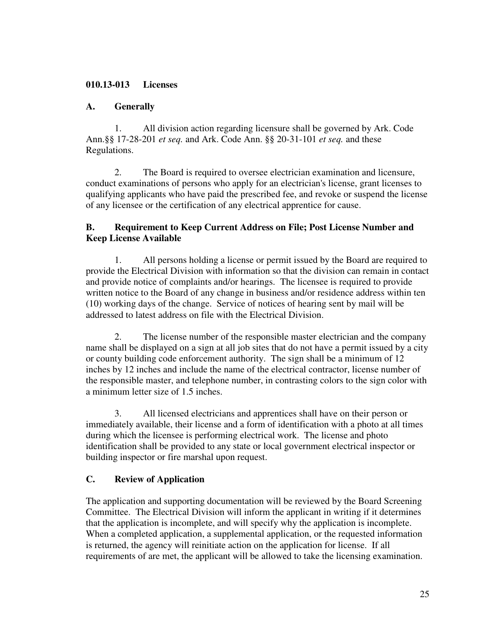### **010.13-013 Licenses**

### **A. Generally**

 1. All division action regarding licensure shall be governed by Ark. Code Ann.§§ 17-28-201 *et seq.* and Ark. Code Ann. §§ 20-31-101 *et seq.* and these Regulations.

 2. The Board is required to oversee electrician examination and licensure, conduct examinations of persons who apply for an electrician's license, grant licenses to qualifying applicants who have paid the prescribed fee, and revoke or suspend the license of any licensee or the certification of any electrical apprentice for cause.

### **B. Requirement to Keep Current Address on File; Post License Number and Keep License Available**

 1. All persons holding a license or permit issued by the Board are required to provide the Electrical Division with information so that the division can remain in contact and provide notice of complaints and/or hearings. The licensee is required to provide written notice to the Board of any change in business and/or residence address within ten (10) working days of the change. Service of notices of hearing sent by mail will be addressed to latest address on file with the Electrical Division.

 2. The license number of the responsible master electrician and the company name shall be displayed on a sign at all job sites that do not have a permit issued by a city or county building code enforcement authority. The sign shall be a minimum of 12 inches by 12 inches and include the name of the electrical contractor, license number of the responsible master, and telephone number, in contrasting colors to the sign color with a minimum letter size of 1.5 inches.

 3. All licensed electricians and apprentices shall have on their person or immediately available, their license and a form of identification with a photo at all times during which the licensee is performing electrical work. The license and photo identification shall be provided to any state or local government electrical inspector or building inspector or fire marshal upon request.

# **C. Review of Application**

The application and supporting documentation will be reviewed by the Board Screening Committee. The Electrical Division will inform the applicant in writing if it determines that the application is incomplete, and will specify why the application is incomplete. When a completed application, a supplemental application, or the requested information is returned, the agency will reinitiate action on the application for license. If all requirements of are met, the applicant will be allowed to take the licensing examination.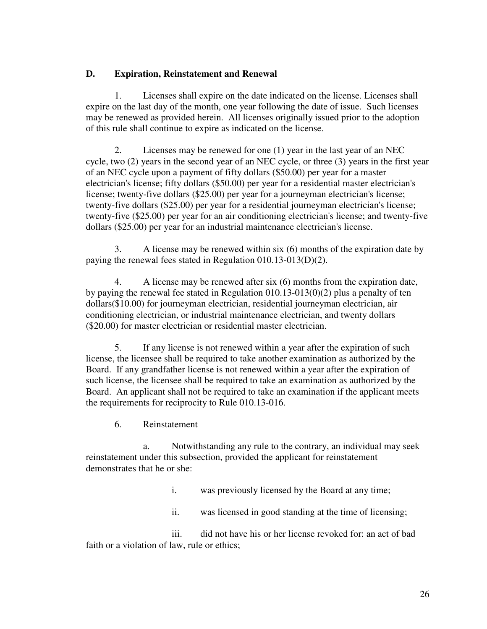### **D. Expiration, Reinstatement and Renewal**

 1. Licenses shall expire on the date indicated on the license. Licenses shall expire on the last day of the month, one year following the date of issue. Such licenses may be renewed as provided herein. All licenses originally issued prior to the adoption of this rule shall continue to expire as indicated on the license.

 2. Licenses may be renewed for one (1) year in the last year of an NEC cycle, two (2) years in the second year of an NEC cycle, or three (3) years in the first year of an NEC cycle upon a payment of fifty dollars (\$50.00) per year for a master electrician's license; fifty dollars (\$50.00) per year for a residential master electrician's license; twenty-five dollars (\$25.00) per year for a journeyman electrician's license; twenty-five dollars (\$25.00) per year for a residential journeyman electrician's license; twenty-five (\$25.00) per year for an air conditioning electrician's license; and twenty-five dollars (\$25.00) per year for an industrial maintenance electrician's license.

 3. A license may be renewed within six (6) months of the expiration date by paying the renewal fees stated in Regulation 010.13-013(D)(2).

 4. A license may be renewed after six (6) months from the expiration date, by paying the renewal fee stated in Regulation 010.13-013(0)(2) plus a penalty of ten dollars(\$10.00) for journeyman electrician, residential journeyman electrician, air conditioning electrician, or industrial maintenance electrician, and twenty dollars (\$20.00) for master electrician or residential master electrician.

 5. If any license is not renewed within a year after the expiration of such license, the licensee shall be required to take another examination as authorized by the Board. If any grandfather license is not renewed within a year after the expiration of such license, the licensee shall be required to take an examination as authorized by the Board. An applicant shall not be required to take an examination if the applicant meets the requirements for reciprocity to Rule 010.13-016.

6. Reinstatement

 a. Notwithstanding any rule to the contrary, an individual may seek reinstatement under this subsection, provided the applicant for reinstatement demonstrates that he or she:

- i. was previously licensed by the Board at any time;
- ii. was licensed in good standing at the time of licensing;

 iii. did not have his or her license revoked for: an act of bad faith or a violation of law, rule or ethics;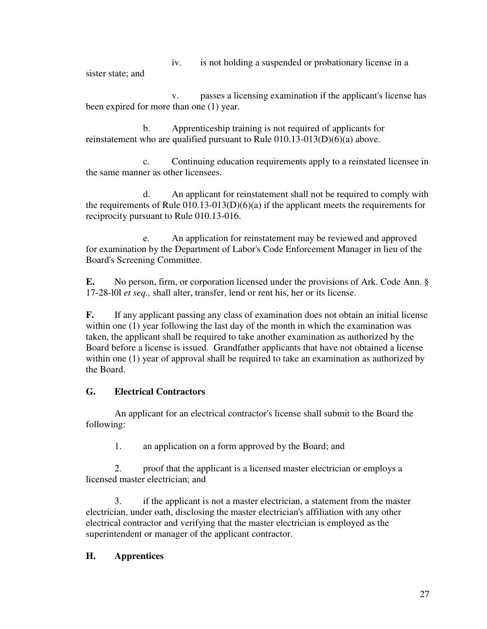iv. is not holding a suspended or probationary license in a

sister state; and

 v. passes a licensing examination if the applicant's license has been expired for more than one (1) year.

 b. Apprenticeship training is not required of applicants for reinstatement who are qualified pursuant to Rule  $010.13-013(D)(6)(a)$  above.

 c. Continuing education requirements apply to a reinstated licensee in the same manner as other licensees.

 d. An applicant for reinstatement shall not be required to comply with the requirements of Rule  $(010.13-013(D)(6)(a))$  if the applicant meets the requirements for reciprocity pursuant to Rule 010.13-016.

 e. An application for reinstatement may be reviewed and approved for examination by the Department of Labor's Code Enforcement Manager in lieu of the Board's Screening Committee.

**E.** No person, firm, or corporation licensed under the provisions of Ark. Code Ann. § 17-28-l0l *et seq.,* shall alter, transfer, lend or rent his, her or its license.

**F.** If any applicant passing any class of examination does not obtain an initial license within one (1) year following the last day of the month in which the examination was taken, the applicant shall be required to take another examination as authorized by the Board before a license is issued. Grandfather applicants that have not obtained a license within one (1) year of approval shall be required to take an examination as authorized by the Board.

# **G. Electrical Contractors**

 An applicant for an electrical contractor's license shall submit to the Board the following:

1. an application on a form approved by the Board; and

 2. proof that the applicant is a licensed master electrician or employs a licensed master electrician; and

 3. if the applicant is not a master electrician, a statement from the master electrician, under oath, disclosing the master electrician's affiliation with any other electrical contractor and verifying that the master electrician is employed as the superintendent or manager of the applicant contractor.

# **H. Apprentices**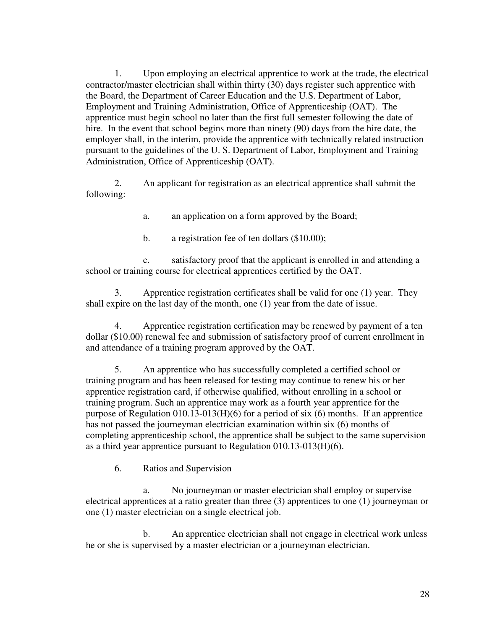1. Upon employing an electrical apprentice to work at the trade, the electrical contractor/master electrician shall within thirty (30) days register such apprentice with the Board, the Department of Career Education and the U.S. Department of Labor, Employment and Training Administration, Office of Apprenticeship (OAT). The apprentice must begin school no later than the first full semester following the date of hire. In the event that school begins more than ninety (90) days from the hire date, the employer shall, in the interim, provide the apprentice with technically related instruction pursuant to the guidelines of the U. S. Department of Labor, Employment and Training Administration, Office of Apprenticeship (OAT).

2. An applicant for registration as an electrical apprentice shall submit the following:

a. an application on a form approved by the Board;

b. a registration fee of ten dollars (\$10.00);

 c. satisfactory proof that the applicant is enrolled in and attending a school or training course for electrical apprentices certified by the OAT.

 3. Apprentice registration certificates shall be valid for one (1) year. They shall expire on the last day of the month, one (1) year from the date of issue.

 4. Apprentice registration certification may be renewed by payment of a ten dollar (\$10.00) renewal fee and submission of satisfactory proof of current enrollment in and attendance of a training program approved by the OAT.

 5. An apprentice who has successfully completed a certified school or training program and has been released for testing may continue to renew his or her apprentice registration card, if otherwise qualified, without enrolling in a school or training program. Such an apprentice may work as a fourth year apprentice for the purpose of Regulation 010.13-013(H)(6) for a period of six (6) months. If an apprentice has not passed the journeyman electrician examination within six (6) months of completing apprenticeship school, the apprentice shall be subject to the same supervision as a third year apprentice pursuant to Regulation 010.13-013(H)(6).

6. Ratios and Supervision

 a. No journeyman or master electrician shall employ or supervise electrical apprentices at a ratio greater than three (3) apprentices to one (1) journeyman or one (1) master electrician on a single electrical job.

 b. An apprentice electrician shall not engage in electrical work unless he or she is supervised by a master electrician or a journeyman electrician.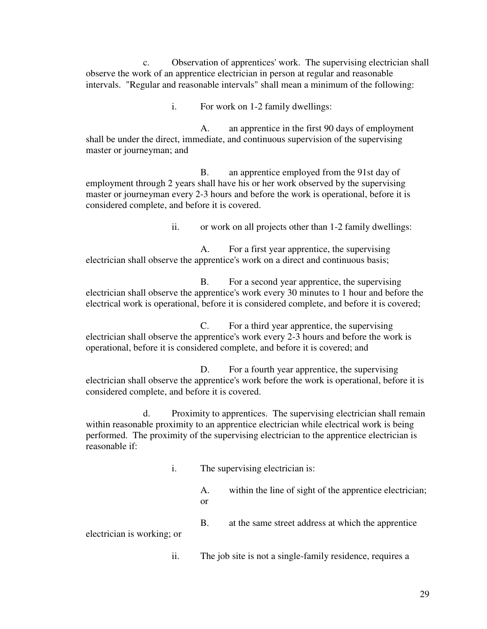c. Observation of apprentices' work. The supervising electrician shall observe the work of an apprentice electrician in person at regular and reasonable intervals. "Regular and reasonable intervals" shall mean a minimum of the following:

i. For work on 1-2 family dwellings:

 A. an apprentice in the first 90 days of employment shall be under the direct, immediate, and continuous supervision of the supervising master or journeyman; and

 B. an apprentice employed from the 91st day of employment through 2 years shall have his or her work observed by the supervising master or journeyman every 2-3 hours and before the work is operational, before it is considered complete, and before it is covered.

ii. or work on all projects other than 1-2 family dwellings:

 A. For a first year apprentice, the supervising electrician shall observe the apprentice's work on a direct and continuous basis;

 B. For a second year apprentice, the supervising electrician shall observe the apprentice's work every 30 minutes to 1 hour and before the electrical work is operational, before it is considered complete, and before it is covered;

 C. For a third year apprentice, the supervising electrician shall observe the apprentice's work every 2-3 hours and before the work is operational, before it is considered complete, and before it is covered; and

D. For a fourth year apprentice, the supervising electrician shall observe the apprentice's work before the work is operational, before it is considered complete, and before it is covered.

 d. Proximity to apprentices. The supervising electrician shall remain within reasonable proximity to an apprentice electrician while electrical work is being performed. The proximity of the supervising electrician to the apprentice electrician is reasonable if:

- i. The supervising electrician is:
	- A. within the line of sight of the apprentice electrician; or
	- B. at the same street address at which the apprentice

electrician is working; or

ii. The job site is not a single-family residence, requires a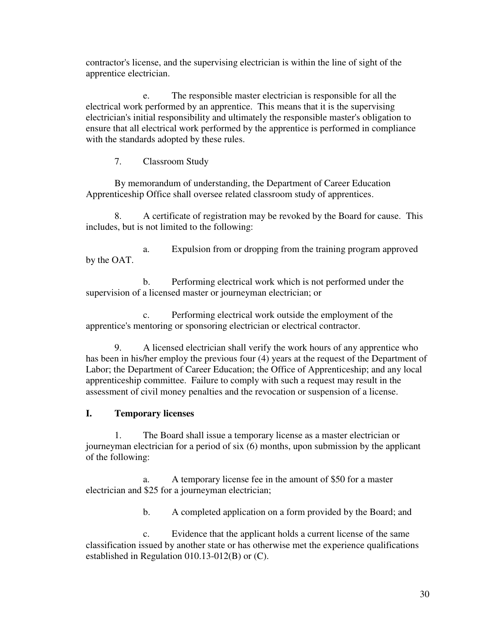contractor's license, and the supervising electrician is within the line of sight of the apprentice electrician.

 e. The responsible master electrician is responsible for all the electrical work performed by an apprentice. This means that it is the supervising electrician's initial responsibility and ultimately the responsible master's obligation to ensure that all electrical work performed by the apprentice is performed in compliance with the standards adopted by these rules.

7. Classroom Study

 By memorandum of understanding, the Department of Career Education Apprenticeship Office shall oversee related classroom study of apprentices.

 8. A certificate of registration may be revoked by the Board for cause. This includes, but is not limited to the following:

 a. Expulsion from or dropping from the training program approved by the OAT.

 b. Performing electrical work which is not performed under the supervision of a licensed master or journeyman electrician; or

 c. Performing electrical work outside the employment of the apprentice's mentoring or sponsoring electrician or electrical contractor.

 9. A licensed electrician shall verify the work hours of any apprentice who has been in his/her employ the previous four (4) years at the request of the Department of Labor; the Department of Career Education; the Office of Apprenticeship; and any local apprenticeship committee. Failure to comply with such a request may result in the assessment of civil money penalties and the revocation or suspension of a license.

### **I. Temporary licenses**

 1. The Board shall issue a temporary license as a master electrician or journeyman electrician for a period of six (6) months, upon submission by the applicant of the following:

 a. A temporary license fee in the amount of \$50 for a master electrician and \$25 for a journeyman electrician;

b. A completed application on a form provided by the Board; and

 c. Evidence that the applicant holds a current license of the same classification issued by another state or has otherwise met the experience qualifications established in Regulation 010.13-012(B) or (C).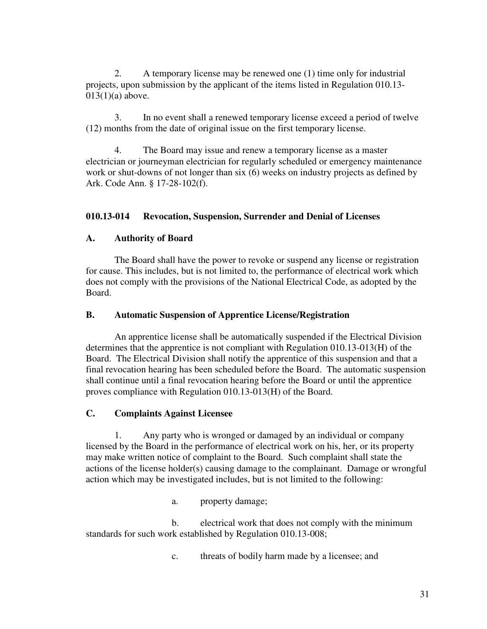2. A temporary license may be renewed one (1) time only for industrial projects, upon submission by the applicant of the items listed in Regulation 010.13-  $013(1)(a)$  above.

 3. In no event shall a renewed temporary license exceed a period of twelve (12) months from the date of original issue on the first temporary license.

 4. The Board may issue and renew a temporary license as a master electrician or journeyman electrician for regularly scheduled or emergency maintenance work or shut-downs of not longer than six (6) weeks on industry projects as defined by Ark. Code Ann. § 17-28-102(f).

### **010.13-014 Revocation, Suspension, Surrender and Denial of Licenses**

### **A. Authority of Board**

 The Board shall have the power to revoke or suspend any license or registration for cause. This includes, but is not limited to, the performance of electrical work which does not comply with the provisions of the National Electrical Code, as adopted by the Board.

#### **B. Automatic Suspension of Apprentice License/Registration**

An apprentice license shall be automatically suspended if the Electrical Division determines that the apprentice is not compliant with Regulation 010.13-013(H) of the Board. The Electrical Division shall notify the apprentice of this suspension and that a final revocation hearing has been scheduled before the Board. The automatic suspension shall continue until a final revocation hearing before the Board or until the apprentice proves compliance with Regulation 010.13-013(H) of the Board.

#### **C. Complaints Against Licensee**

 1. Any party who is wronged or damaged by an individual or company licensed by the Board in the performance of electrical work on his, her, or its property may make written notice of complaint to the Board. Such complaint shall state the actions of the license holder(s) causing damage to the complainant. Damage or wrongful action which may be investigated includes, but is not limited to the following:

a. property damage;

 b. electrical work that does not comply with the minimum standards for such work established by Regulation 010.13-008;

c. threats of bodily harm made by a licensee; and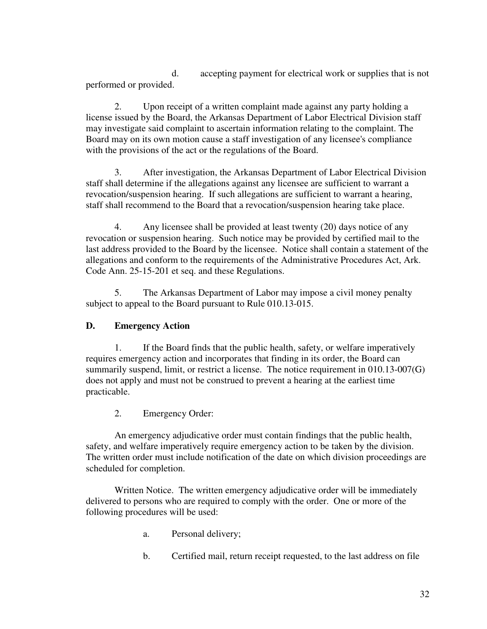d. accepting payment for electrical work or supplies that is not performed or provided.

 2. Upon receipt of a written complaint made against any party holding a license issued by the Board, the Arkansas Department of Labor Electrical Division staff may investigate said complaint to ascertain information relating to the complaint. The Board may on its own motion cause a staff investigation of any licensee's compliance with the provisions of the act or the regulations of the Board.

 3. After investigation, the Arkansas Department of Labor Electrical Division staff shall determine if the allegations against any licensee are sufficient to warrant a revocation/suspension hearing. If such allegations are sufficient to warrant a hearing, staff shall recommend to the Board that a revocation/suspension hearing take place.

 4. Any licensee shall be provided at least twenty (20) days notice of any revocation or suspension hearing. Such notice may be provided by certified mail to the last address provided to the Board by the licensee. Notice shall contain a statement of the allegations and conform to the requirements of the Administrative Procedures Act, Ark. Code Ann. 25-15-201 et seq. and these Regulations.

 5. The Arkansas Department of Labor may impose a civil money penalty subject to appeal to the Board pursuant to Rule 010.13-015.

# **D. Emergency Action**

 1. If the Board finds that the public health, safety, or welfare imperatively requires emergency action and incorporates that finding in its order, the Board can summarily suspend, limit, or restrict a license. The notice requirement in 010.13-007(G) does not apply and must not be construed to prevent a hearing at the earliest time practicable.

2. Emergency Order:

 An emergency adjudicative order must contain findings that the public health, safety, and welfare imperatively require emergency action to be taken by the division. The written order must include notification of the date on which division proceedings are scheduled for completion.

 Written Notice. The written emergency adjudicative order will be immediately delivered to persons who are required to comply with the order. One or more of the following procedures will be used:

- a. Personal delivery;
- b. Certified mail, return receipt requested, to the last address on file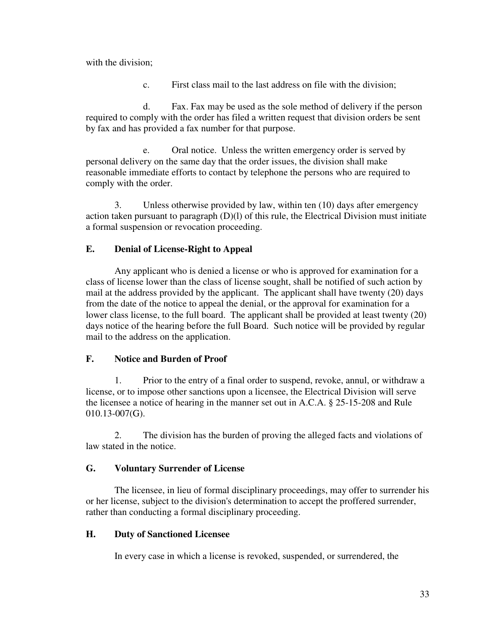with the division:

c. First class mail to the last address on file with the division;

 d. Fax. Fax may be used as the sole method of delivery if the person required to comply with the order has filed a written request that division orders be sent by fax and has provided a fax number for that purpose.

 e. Oral notice. Unless the written emergency order is served by personal delivery on the same day that the order issues, the division shall make reasonable immediate efforts to contact by telephone the persons who are required to comply with the order.

 3. Unless otherwise provided by law, within ten (10) days after emergency action taken pursuant to paragraph  $(D)(I)$  of this rule, the Electrical Division must initiate a formal suspension or revocation proceeding.

### **E. Denial of License-Right to Appeal**

 Any applicant who is denied a license or who is approved for examination for a class of license lower than the class of license sought, shall be notified of such action by mail at the address provided by the applicant. The applicant shall have twenty (20) days from the date of the notice to appeal the denial, or the approval for examination for a lower class license, to the full board. The applicant shall be provided at least twenty (20) days notice of the hearing before the full Board. Such notice will be provided by regular mail to the address on the application.

### **F. Notice and Burden of Proof**

 1. Prior to the entry of a final order to suspend, revoke, annul, or withdraw a license, or to impose other sanctions upon a licensee, the Electrical Division will serve the licensee a notice of hearing in the manner set out in A.C.A. § 25-15-208 and Rule 010.13-007(G).

 2. The division has the burden of proving the alleged facts and violations of law stated in the notice.

### **G. Voluntary Surrender of License**

 The licensee, in lieu of formal disciplinary proceedings, may offer to surrender his or her license, subject to the division's determination to accept the proffered surrender, rather than conducting a formal disciplinary proceeding.

### **H. Duty of Sanctioned Licensee**

In every case in which a license is revoked, suspended, or surrendered, the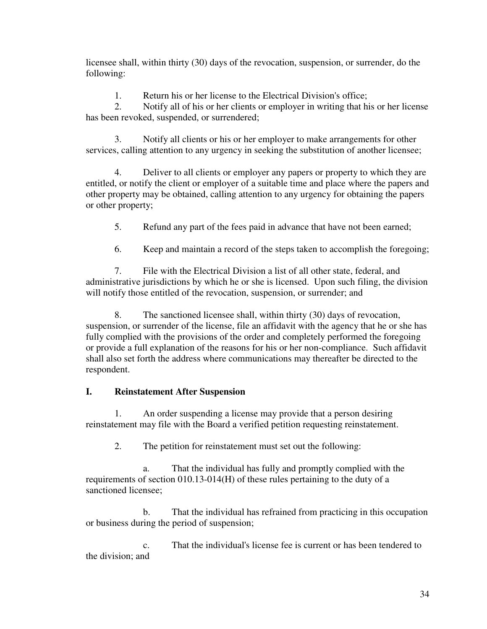licensee shall, within thirty (30) days of the revocation, suspension, or surrender, do the following:

1. Return his or her license to the Electrical Division's office;

 2. Notify all of his or her clients or employer in writing that his or her license has been revoked, suspended, or surrendered;

 3. Notify all clients or his or her employer to make arrangements for other services, calling attention to any urgency in seeking the substitution of another licensee;

 4. Deliver to all clients or employer any papers or property to which they are entitled, or notify the client or employer of a suitable time and place where the papers and other property may be obtained, calling attention to any urgency for obtaining the papers or other property;

5. Refund any part of the fees paid in advance that have not been earned;

6. Keep and maintain a record of the steps taken to accomplish the foregoing;

 7. File with the Electrical Division a list of all other state, federal, and administrative jurisdictions by which he or she is licensed. Upon such filing, the division will notify those entitled of the revocation, suspension, or surrender; and

 8. The sanctioned licensee shall, within thirty (30) days of revocation, suspension, or surrender of the license, file an affidavit with the agency that he or she has fully complied with the provisions of the order and completely performed the foregoing or provide a full explanation of the reasons for his or her non-compliance. Such affidavit shall also set forth the address where communications may thereafter be directed to the respondent.

# **I. Reinstatement After Suspension**

 1. An order suspending a license may provide that a person desiring reinstatement may file with the Board a verified petition requesting reinstatement.

2. The petition for reinstatement must set out the following:

 a. That the individual has fully and promptly complied with the requirements of section 010.13-014(H) of these rules pertaining to the duty of a sanctioned licensee;

 b. That the individual has refrained from practicing in this occupation or business during the period of suspension;

 c. That the individual's license fee is current or has been tendered to the division; and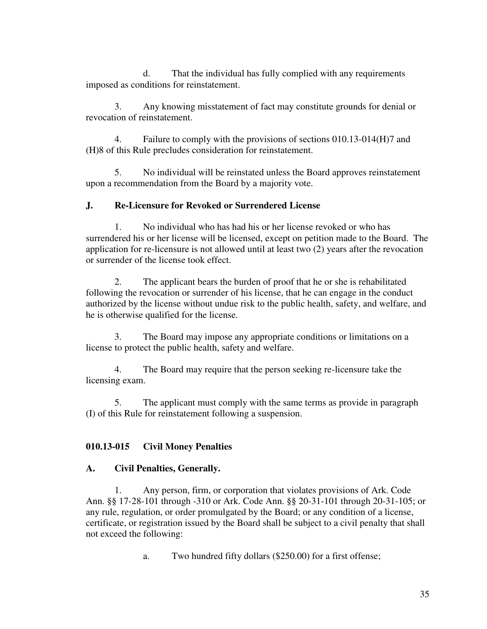d. That the individual has fully complied with any requirements imposed as conditions for reinstatement.

 3. Any knowing misstatement of fact may constitute grounds for denial or revocation of reinstatement.

 4. Failure to comply with the provisions of sections 010.13-014(H)7 and (H)8 of this Rule precludes consideration for reinstatement.

 5. No individual will be reinstated unless the Board approves reinstatement upon a recommendation from the Board by a majority vote.

# **J. Re-Licensure for Revoked or Surrendered License**

 1. No individual who has had his or her license revoked or who has surrendered his or her license will be licensed, except on petition made to the Board. The application for re-licensure is not allowed until at least two (2) years after the revocation or surrender of the license took effect.

 2. The applicant bears the burden of proof that he or she is rehabilitated following the revocation or surrender of his license, that he can engage in the conduct authorized by the license without undue risk to the public health, safety, and welfare, and he is otherwise qualified for the license.

 3. The Board may impose any appropriate conditions or limitations on a license to protect the public health, safety and welfare.

 4. The Board may require that the person seeking re-licensure take the licensing exam.

 5. The applicant must comply with the same terms as provide in paragraph (I) of this Rule for reinstatement following a suspension.

# **010.13-015 Civil Money Penalties**

### **A. Civil Penalties, Generally.**

 1. Any person, firm, or corporation that violates provisions of Ark. Code Ann. §§ 17-28-101 through -310 or Ark. Code Ann. §§ 20-31-101 through 20-31-105; or any rule, regulation, or order promulgated by the Board; or any condition of a license, certificate, or registration issued by the Board shall be subject to a civil penalty that shall not exceed the following:

a. Two hundred fifty dollars (\$250.00) for a first offense;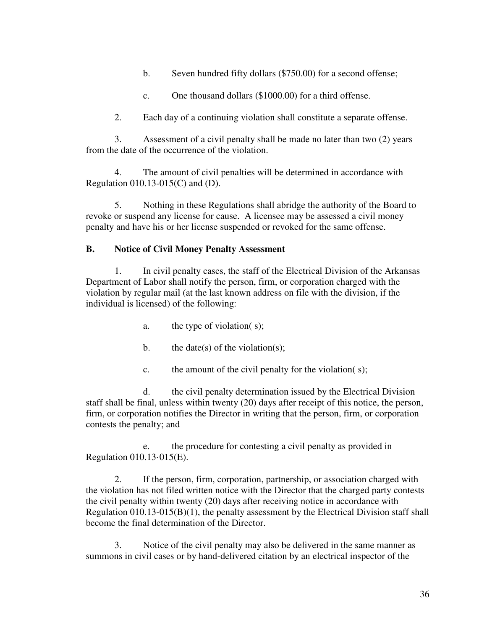- b. Seven hundred fifty dollars (\$750.00) for a second offense;
- c. One thousand dollars (\$1000.00) for a third offense.
- 2. Each day of a continuing violation shall constitute a separate offense.

 3. Assessment of a civil penalty shall be made no later than two (2) years from the date of the occurrence of the violation.

 4. The amount of civil penalties will be determined in accordance with Regulation 010.13-015(C) and (D).

 5. Nothing in these Regulations shall abridge the authority of the Board to revoke or suspend any license for cause. A licensee may be assessed a civil money penalty and have his or her license suspended or revoked for the same offense.

### **B. Notice of Civil Money Penalty Assessment**

 1. In civil penalty cases, the staff of the Electrical Division of the Arkansas Department of Labor shall notify the person, firm, or corporation charged with the violation by regular mail (at the last known address on file with the division, if the individual is licensed) of the following:

- a. the type of violation( s);
- b. the date(s) of the violation(s);
- c. the amount of the civil penalty for the violation( s);

 d. the civil penalty determination issued by the Electrical Division staff shall be final, unless within twenty (20) days after receipt of this notice, the person, firm, or corporation notifies the Director in writing that the person, firm, or corporation contests the penalty; and

 e. the procedure for contesting a civil penalty as provided in Regulation 010.13·015(E).

 2. If the person, firm, corporation, partnership, or association charged with the violation has not filed written notice with the Director that the charged party contests the civil penalty within twenty (20) days after receiving notice in accordance with Regulation 010.13-015(B)(1), the penalty assessment by the Electrical Division staff shall become the final determination of the Director.

 3. Notice of the civil penalty may also be delivered in the same manner as summons in civil cases or by hand-delivered citation by an electrical inspector of the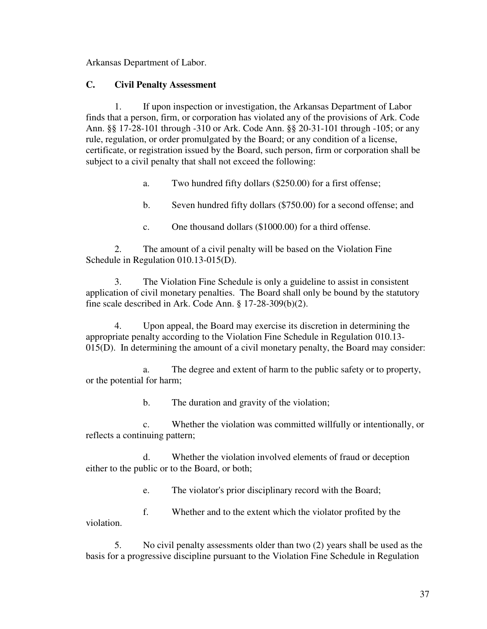Arkansas Department of Labor.

### **C. Civil Penalty Assessment**

 1. If upon inspection or investigation, the Arkansas Department of Labor finds that a person, firm, or corporation has violated any of the provisions of Ark. Code Ann. §§ 17-28-101 through -310 or Ark. Code Ann. §§ 20-31-101 through -105; or any rule, regulation, or order promulgated by the Board; or any condition of a license, certificate, or registration issued by the Board, such person, firm or corporation shall be subject to a civil penalty that shall not exceed the following:

a. Two hundred fifty dollars (\$250.00) for a first offense;

b. Seven hundred fifty dollars (\$750.00) for a second offense; and

c. One thousand dollars (\$1000.00) for a third offense.

 2. The amount of a civil penalty will be based on the Violation Fine Schedule in Regulation 010.13-015(D).

 3. The Violation Fine Schedule is only a guideline to assist in consistent application of civil monetary penalties. The Board shall only be bound by the statutory fine scale described in Ark. Code Ann. § 17-28-309(b)(2).

 4. Upon appeal, the Board may exercise its discretion in determining the appropriate penalty according to the Violation Fine Schedule in Regulation 010.13-  $015(D)$ . In determining the amount of a civil monetary penalty, the Board may consider:

 a. The degree and extent of harm to the public safety or to property, or the potential for harm;

b. The duration and gravity of the violation;

 c. Whether the violation was committed willfully or intentionally, or reflects a continuing pattern;

 d. Whether the violation involved elements of fraud or deception either to the public or to the Board, or both;

e. The violator's prior disciplinary record with the Board;

 f. Whether and to the extent which the violator profited by the violation.

 5. No civil penalty assessments older than two (2) years shall be used as the basis for a progressive discipline pursuant to the Violation Fine Schedule in Regulation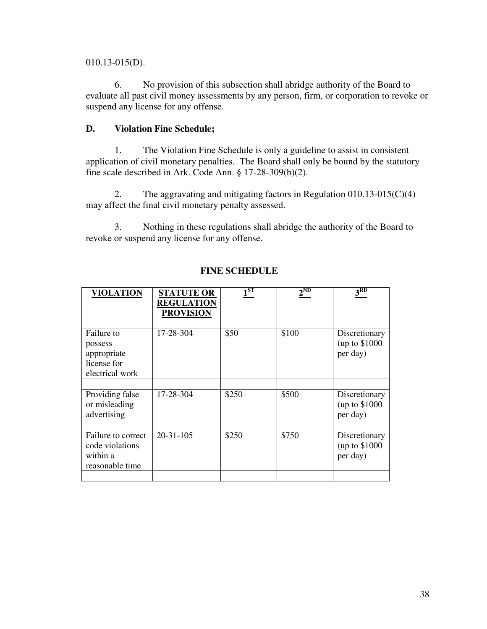010.13-015(D).

 6. No provision of this subsection shall abridge authority of the Board to evaluate all past civil money assessments by any person, firm, or corporation to revoke or suspend any license for any offense.

### **D. Violation Fine Schedule;**

 1. The Violation Fine Schedule is only a guideline to assist in consistent application of civil monetary penalties. The Board shall only be bound by the statutory fine scale described in Ark. Code Ann. § 17-28-309(b)(2).

 2. The aggravating and mitigating factors in Regulation 010.13-015(C)(4) may affect the final civil monetary penalty assessed.

 3. Nothing in these regulations shall abridge the authority of the Board to revoke or suspend any license for any offense.

| <b>VIOLATION</b>                                                       | <b>STATUTE OR</b><br><b>REGULATION</b><br><b>PROVISION</b> | $1^{ST}$ | $2^{\rm ND}$ | 3 <sup>RD</sup>                             |
|------------------------------------------------------------------------|------------------------------------------------------------|----------|--------------|---------------------------------------------|
| Failure to<br>possess<br>appropriate<br>license for<br>electrical work | 17-28-304                                                  | \$50     | \$100        | Discretionary<br>(up to \$1000)<br>per day) |
| Providing false<br>or misleading<br>advertising                        | 17-28-304                                                  | \$250    | \$500        | Discretionary<br>(up to \$1000)<br>per day) |
| Failure to correct<br>code violations<br>within a<br>reasonable time   | $20 - 31 - 105$                                            | \$250    | \$750        | Discretionary<br>(up to \$1000)<br>per day) |

### **FINE SCHEDULE**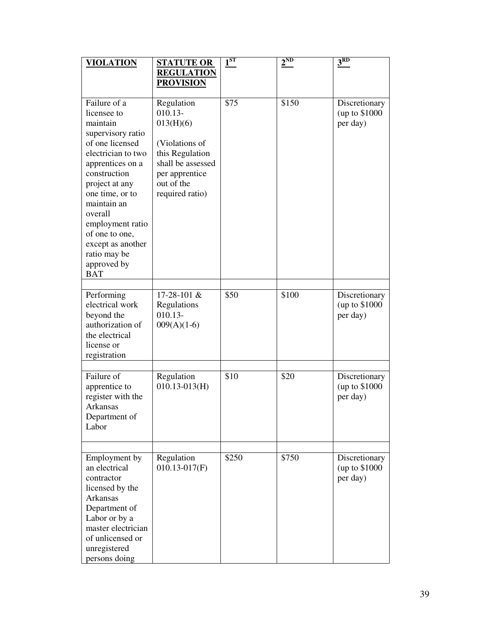| <b>VIOLATION</b>                                                                                                                                                                                                                                                                                                 | <b>STATUTE OR</b>                                                                                                                                 | $1^\mathrm{ST}$ | $2^{\rm ND}$ | $3^{RD}$                                    |
|------------------------------------------------------------------------------------------------------------------------------------------------------------------------------------------------------------------------------------------------------------------------------------------------------------------|---------------------------------------------------------------------------------------------------------------------------------------------------|-----------------|--------------|---------------------------------------------|
|                                                                                                                                                                                                                                                                                                                  | <b>REGULATION</b><br><b>PROVISION</b>                                                                                                             |                 |              |                                             |
|                                                                                                                                                                                                                                                                                                                  |                                                                                                                                                   |                 |              |                                             |
| Failure of a<br>licensee to<br>maintain<br>supervisory ratio<br>of one licensed<br>electrician to two<br>apprentices on a<br>construction<br>project at any<br>one time, or to<br>maintain an<br>overall<br>employment ratio<br>of one to one,<br>except as another<br>ratio may be<br>approved by<br><b>BAT</b> | Regulation<br>$010.13-$<br>013(H)(6)<br>(Violations of<br>this Regulation<br>shall be assessed<br>per apprentice<br>out of the<br>required ratio) | \$75            | \$150        | Discretionary<br>(up to \$1000)<br>per day) |
| Performing<br>electrical work<br>beyond the<br>authorization of<br>the electrical<br>license or<br>registration                                                                                                                                                                                                  | 17-28-101 &<br>Regulations<br>$010.13 -$<br>$009(A)(1-6)$                                                                                         | \$50            | \$100        | Discretionary<br>(up to \$1000)<br>per day) |
| Failure of<br>apprentice to<br>register with the<br><b>Arkansas</b><br>Department of<br>Labor                                                                                                                                                                                                                    | Regulation<br>$010.13 - 013$ (H)                                                                                                                  | \$10            | \$20         | Discretionary<br>(up to \$1000)<br>per day) |
|                                                                                                                                                                                                                                                                                                                  |                                                                                                                                                   |                 |              |                                             |
| Employment by<br>an electrical<br>contractor<br>licensed by the<br>Arkansas<br>Department of<br>Labor or by a<br>master electrician<br>of unlicensed or<br>unregistered<br>persons doing                                                                                                                         | Regulation<br>$010.13 - 017(F)$                                                                                                                   | \$250           | \$750        | Discretionary<br>(up to \$1000)<br>per day) |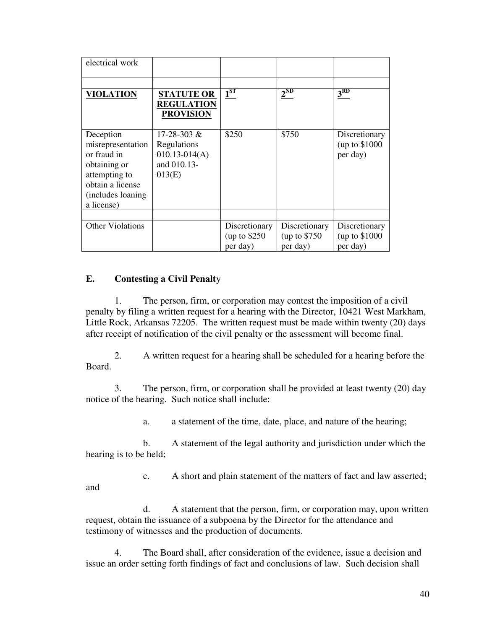| electrical work                                                                                                                        |                                                                                 |                                            |                                            |                                            |
|----------------------------------------------------------------------------------------------------------------------------------------|---------------------------------------------------------------------------------|--------------------------------------------|--------------------------------------------|--------------------------------------------|
|                                                                                                                                        |                                                                                 |                                            |                                            |                                            |
| VIOLATION                                                                                                                              | <b>STATUTE OR</b><br><b>REGULATION</b><br><b>PROVISION</b>                      | $1^{ST}$                                   | $2^{ND}$                                   | 3 <sup>RD</sup>                            |
| Deception<br>misrepresentation<br>or fraud in<br>obtaining or<br>attempting to<br>obtain a license<br>(includes loaning)<br>a license) | $17 - 28 - 303 \&$<br>Regulations<br>$010.13 - 014(A)$<br>and 010.13-<br>013(E) | \$250                                      | \$750                                      | Discretionary<br>(up to \$1000<br>per day) |
| <b>Other Violations</b>                                                                                                                |                                                                                 | Discretionary<br>(up to $$250$<br>per day) | Discretionary<br>(up to \$750)<br>per day) | Discretionary<br>(up to \$1000<br>per day) |

### **E. Contesting a Civil Penalt**y

and

 1. The person, firm, or corporation may contest the imposition of a civil penalty by filing a written request for a hearing with the Director, 10421 West Markham, Little Rock, Arkansas 72205. The written request must be made within twenty (20) days after receipt of notification of the civil penalty or the assessment will become final.

 2. A written request for a hearing shall be scheduled for a hearing before the Board.

 3. The person, firm, or corporation shall be provided at least twenty (20) day notice of the hearing. Such notice shall include:

a. a statement of the time, date, place, and nature of the hearing;

 b. A statement of the legal authority and jurisdiction under which the hearing is to be held;

c. A short and plain statement of the matters of fact and law asserted;

 d. A statement that the person, firm, or corporation may, upon written request, obtain the issuance of a subpoena by the Director for the attendance and testimony of witnesses and the production of documents.

 4. The Board shall, after consideration of the evidence, issue a decision and issue an order setting forth findings of fact and conclusions of law. Such decision shall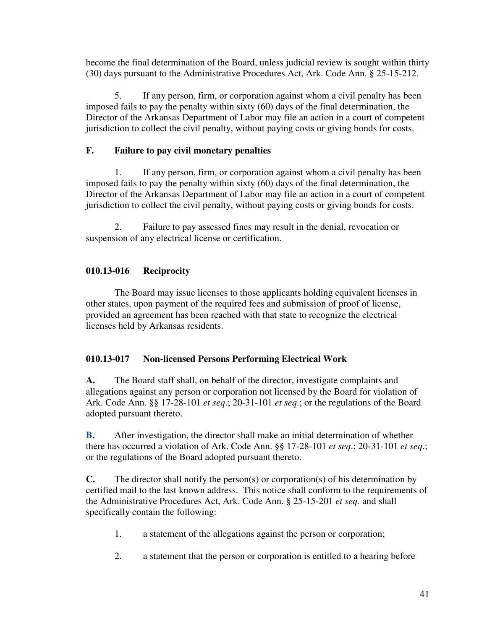become the final determination of the Board, unless judicial review is sought within thirty (30) days pursuant to the Administrative Procedures Act, Ark. Code Ann. § 25-15-212.

 5. If any person, firm, or corporation against whom a civil penalty has been imposed fails to pay the penalty within sixty (60) days of the final determination, the Director of the Arkansas Department of Labor may file an action in a court of competent jurisdiction to collect the civil penalty, without paying costs or giving bonds for costs.

# **F. Failure to pay civil monetary penalties**

 1. If any person, firm, or corporation against whom a civil penalty has been imposed fails to pay the penalty within sixty (60) days of the final determination, the Director of the Arkansas Department of Labor may file an action in a court of competent jurisdiction to collect the civil penalty, without paying costs or giving bonds for costs.

 2. Failure to pay assessed fines may result in the denial, revocation or suspension of any electrical license or certification.

# **010.13-016 Reciprocity**

 The Board may issue licenses to those applicants holding equivalent licenses in other states, upon payment of the required fees and submission of proof of license, provided an agreement has been reached with that state to recognize the electrical licenses held by Arkansas residents.

# **010.13-017 Non-licensed Persons Performing Electrical Work**

**A.** The Board staff shall, on behalf of the director, investigate complaints and allegations against any person or corporation not licensed by the Board for violation of Ark. Code Ann. §§ 17-28-101 *et seq*.; 20-31-101 *et seq*.; or the regulations of the Board adopted pursuant thereto.

**B.** After investigation, the director shall make an initial determination of whether there has occurred a violation of Ark. Code Ann. §§ 17-28-101 *et seq*.; 20-31-101 *et seq*.; or the regulations of the Board adopted pursuant thereto.

**C.** The director shall notify the person(s) or corporation(s) of his determination by certified mail to the last known address. This notice shall conform to the requirements of the Administrative Procedures Act, Ark. Code Ann. § 25-15-201 *et seq.* and shall specifically contain the following:

- 1. a statement of the allegations against the person or corporation;
- 2. a statement that the person or corporation is entitled to a hearing before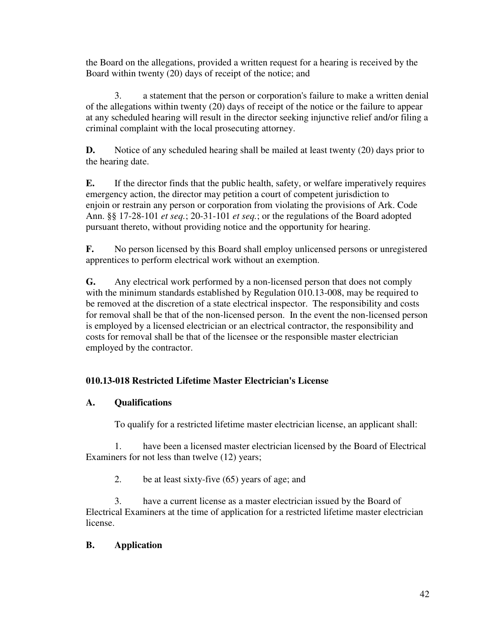the Board on the allegations, provided a written request for a hearing is received by the Board within twenty (20) days of receipt of the notice; and

 3. a statement that the person or corporation's failure to make a written denial of the allegations within twenty (20) days of receipt of the notice or the failure to appear at any scheduled hearing will result in the director seeking injunctive relief and/or filing a criminal complaint with the local prosecuting attorney.

**D.** Notice of any scheduled hearing shall be mailed at least twenty (20) days prior to the hearing date.

**E.** If the director finds that the public health, safety, or welfare imperatively requires emergency action, the director may petition a court of competent jurisdiction to enjoin or restrain any person or corporation from violating the provisions of Ark. Code Ann. §§ 17-28-101 *et seq.*; 20-31-101 *et seq.*; or the regulations of the Board adopted pursuant thereto, without providing notice and the opportunity for hearing.

**F.** No person licensed by this Board shall employ unlicensed persons or unregistered apprentices to perform electrical work without an exemption.

**G.** Any electrical work performed by a non-licensed person that does not comply with the minimum standards established by Regulation 010.13-008, may be required to be removed at the discretion of a state electrical inspector. The responsibility and costs for removal shall be that of the non-licensed person. In the event the non-licensed person is employed by a licensed electrician or an electrical contractor, the responsibility and costs for removal shall be that of the licensee or the responsible master electrician employed by the contractor.

# **010.13-018 Restricted Lifetime Master Electrician's License**

# **A. Qualifications**

To qualify for a restricted lifetime master electrician license, an applicant shall:

 1. have been a licensed master electrician licensed by the Board of Electrical Examiners for not less than twelve (12) years;

2. be at least sixty-five (65) years of age; and

 3. have a current license as a master electrician issued by the Board of Electrical Examiners at the time of application for a restricted lifetime master electrician license.

# **B. Application**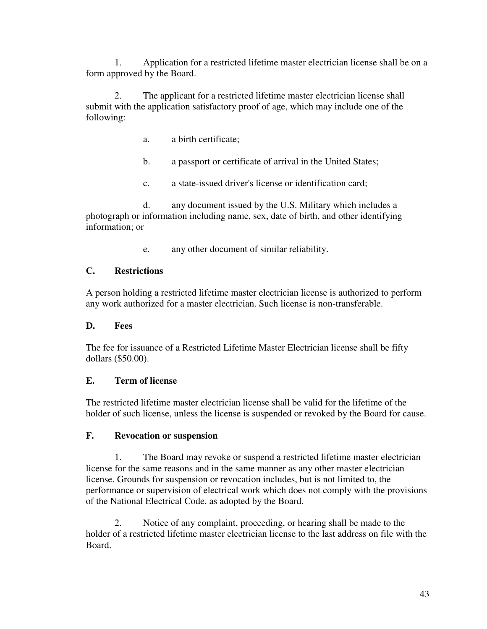1. Application for a restricted lifetime master electrician license shall be on a form approved by the Board.

 2. The applicant for a restricted lifetime master electrician license shall submit with the application satisfactory proof of age, which may include one of the following:

- a. a birth certificate;
- b. a passport or certificate of arrival in the United States;
- c. a state-issued driver's license or identification card;

 d. any document issued by the U.S. Military which includes a photograph or information including name, sex, date of birth, and other identifying information; or

e. any other document of similar reliability.

# **C. Restrictions**

A person holding a restricted lifetime master electrician license is authorized to perform any work authorized for a master electrician. Such license is non-transferable.

### **D. Fees**

The fee for issuance of a Restricted Lifetime Master Electrician license shall be fifty dollars (\$50.00).

### **E. Term of license**

The restricted lifetime master electrician license shall be valid for the lifetime of the holder of such license, unless the license is suspended or revoked by the Board for cause.

### **F. Revocation or suspension**

 1. The Board may revoke or suspend a restricted lifetime master electrician license for the same reasons and in the same manner as any other master electrician license. Grounds for suspension or revocation includes, but is not limited to, the performance or supervision of electrical work which does not comply with the provisions of the National Electrical Code, as adopted by the Board.

 2. Notice of any complaint, proceeding, or hearing shall be made to the holder of a restricted lifetime master electrician license to the last address on file with the Board.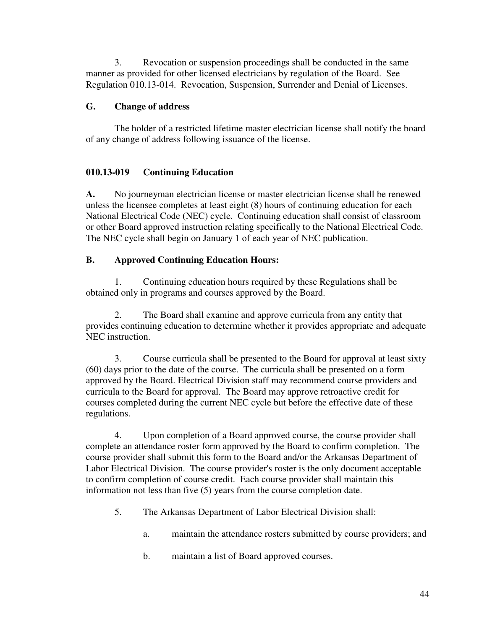3. Revocation or suspension proceedings shall be conducted in the same manner as provided for other licensed electricians by regulation of the Board. See Regulation 010.13-014. Revocation, Suspension, Surrender and Denial of Licenses.

# **G. Change of address**

 The holder of a restricted lifetime master electrician license shall notify the board of any change of address following issuance of the license.

# **010.13-019 Continuing Education**

**A.** No journeyman electrician license or master electrician license shall be renewed unless the licensee completes at least eight (8) hours of continuing education for each National Electrical Code (NEC) cycle. Continuing education shall consist of classroom or other Board approved instruction relating specifically to the National Electrical Code. The NEC cycle shall begin on January 1 of each year of NEC publication.

# **B. Approved Continuing Education Hours:**

 1. Continuing education hours required by these Regulations shall be obtained only in programs and courses approved by the Board.

 2. The Board shall examine and approve curricula from any entity that provides continuing education to determine whether it provides appropriate and adequate NEC instruction.

 3. Course curricula shall be presented to the Board for approval at least sixty (60) days prior to the date of the course. The curricula shall be presented on a form approved by the Board. Electrical Division staff may recommend course providers and curricula to the Board for approval. The Board may approve retroactive credit for courses completed during the current NEC cycle but before the effective date of these regulations.

 4. Upon completion of a Board approved course, the course provider shall complete an attendance roster form approved by the Board to confirm completion. The course provider shall submit this form to the Board and/or the Arkansas Department of Labor Electrical Division. The course provider's roster is the only document acceptable to confirm completion of course credit. Each course provider shall maintain this information not less than five (5) years from the course completion date.

- 5. The Arkansas Department of Labor Electrical Division shall:
	- a. maintain the attendance rosters submitted by course providers; and
	- b. maintain a list of Board approved courses.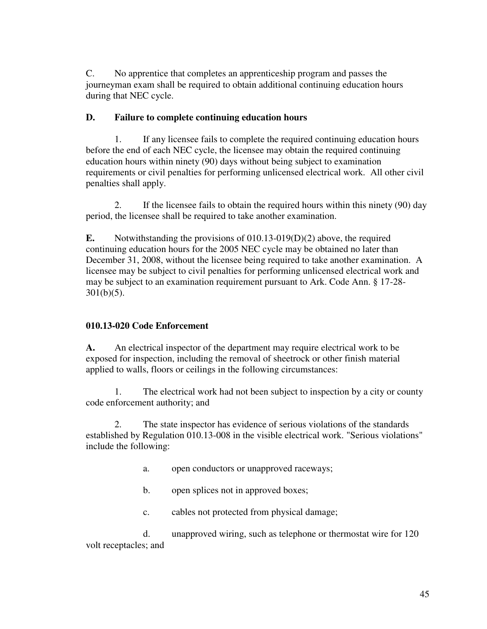C. No apprentice that completes an apprenticeship program and passes the journeyman exam shall be required to obtain additional continuing education hours during that NEC cycle.

# **D. Failure to complete continuing education hours**

 1. If any licensee fails to complete the required continuing education hours before the end of each NEC cycle, the licensee may obtain the required continuing education hours within ninety (90) days without being subject to examination requirements or civil penalties for performing unlicensed electrical work. All other civil penalties shall apply.

 2. If the licensee fails to obtain the required hours within this ninety (90) day period, the licensee shall be required to take another examination.

**E.** Notwithstanding the provisions of 010.13-019(D)(2) above, the required continuing education hours for the 2005 NEC cycle may be obtained no later than December 31, 2008, without the licensee being required to take another examination. A licensee may be subject to civil penalties for performing unlicensed electrical work and may be subject to an examination requirement pursuant to Ark. Code Ann. § 17-28-  $301(b)(5)$ .

# **010.13-020 Code Enforcement**

**A.** An electrical inspector of the department may require electrical work to be exposed for inspection, including the removal of sheetrock or other finish material applied to walls, floors or ceilings in the following circumstances:

 1. The electrical work had not been subject to inspection by a city or county code enforcement authority; and

 2. The state inspector has evidence of serious violations of the standards established by Regulation 010.13-008 in the visible electrical work. "Serious violations" include the following:

- a. open conductors or unapproved raceways;
- b. open splices not in approved boxes;
- c. cables not protected from physical damage;

 d. unapproved wiring, such as telephone or thermostat wire for 120 volt receptacles; and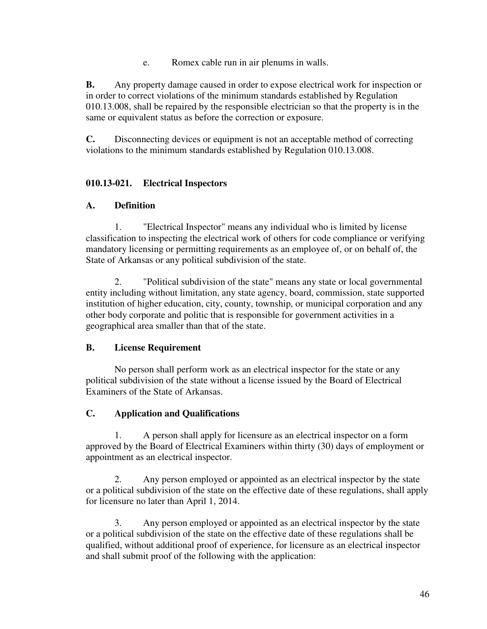e. Romex cable run in air plenums in walls.

**B.** Any property damage caused in order to expose electrical work for inspection or in order to correct violations of the minimum standards established by Regulation 010.13.008, shall be repaired by the responsible electrician so that the property is in the same or equivalent status as before the correction or exposure.

**C.** Disconnecting devices or equipment is not an acceptable method of correcting violations to the minimum standards established by Regulation 010.13.008.

# **010.13-021. Electrical Inspectors**

# **A. Definition**

 1. "Electrical Inspector" means any individual who is limited by license classification to inspecting the electrical work of others for code compliance or verifying mandatory licensing or permitting requirements as an employee of, or on behalf of, the State of Arkansas or any political subdivision of the state.

 2. "Political subdivision of the state" means any state or local governmental entity including without limitation, any state agency, board, commission, state supported institution of higher education, city, county, township, or municipal corporation and any other body corporate and politic that is responsible for government activities in a geographical area smaller than that of the state.

# **B. License Requirement**

 No person shall perform work as an electrical inspector for the state or any political subdivision of the state without a license issued by the Board of Electrical Examiners of the State of Arkansas.

# **C. Application and Qualifications**

 1. A person shall apply for licensure as an electrical inspector on a form approved by the Board of Electrical Examiners within thirty (30) days of employment or appointment as an electrical inspector.

 2. Any person employed or appointed as an electrical inspector by the state or a political subdivision of the state on the effective date of these regulations, shall apply for licensure no later than April 1, 2014.

 3. Any person employed or appointed as an electrical inspector by the state or a political subdivision of the state on the effective date of these regulations shall be qualified, without additional proof of experience, for licensure as an electrical inspector and shall submit proof of the following with the application: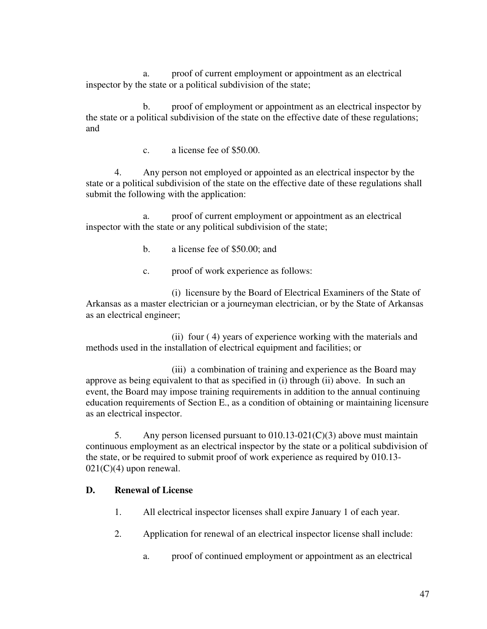a. proof of current employment or appointment as an electrical inspector by the state or a political subdivision of the state;

 b. proof of employment or appointment as an electrical inspector by the state or a political subdivision of the state on the effective date of these regulations; and

c. a license fee of \$50.00.

 4. Any person not employed or appointed as an electrical inspector by the state or a political subdivision of the state on the effective date of these regulations shall submit the following with the application:

 a. proof of current employment or appointment as an electrical inspector with the state or any political subdivision of the state;

- b. a license fee of \$50.00; and
- c. proof of work experience as follows:

 (i) licensure by the Board of Electrical Examiners of the State of Arkansas as a master electrician or a journeyman electrician, or by the State of Arkansas as an electrical engineer;

 (ii) four ( 4) years of experience working with the materials and methods used in the installation of electrical equipment and facilities; or

 (iii) a combination of training and experience as the Board may approve as being equivalent to that as specified in (i) through (ii) above. In such an event, the Board may impose training requirements in addition to the annual continuing education requirements of Section E., as a condition of obtaining or maintaining licensure as an electrical inspector.

5. Any person licensed pursuant to  $010.13-021(C)(3)$  above must maintain continuous employment as an electrical inspector by the state or a political subdivision of the state, or be required to submit proof of work experience as required by 010.13-  $021(C)(4)$  upon renewal.

#### **D. Renewal of License**

- 1. All electrical inspector licenses shall expire January 1 of each year.
- 2. Application for renewal of an electrical inspector license shall include:
	- a. proof of continued employment or appointment as an electrical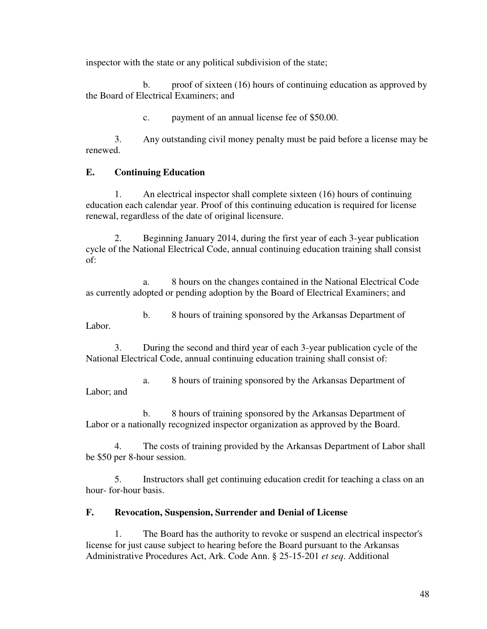inspector with the state or any political subdivision of the state;

 b. proof of sixteen (16) hours of continuing education as approved by the Board of Electrical Examiners; and

c. payment of an annual license fee of \$50.00.

 3. Any outstanding civil money penalty must be paid before a license may be renewed.

# **E. Continuing Education**

 1. An electrical inspector shall complete sixteen (16) hours of continuing education each calendar year. Proof of this continuing education is required for license renewal, regardless of the date of original licensure.

 2. Beginning January 2014, during the first year of each 3-year publication cycle of the National Electrical Code, annual continuing education training shall consist of:

 a. 8 hours on the changes contained in the National Electrical Code as currently adopted or pending adoption by the Board of Electrical Examiners; and

 b. 8 hours of training sponsored by the Arkansas Department of Labor.

 3. During the second and third year of each 3-year publication cycle of the National Electrical Code, annual continuing education training shall consist of:

 a. 8 hours of training sponsored by the Arkansas Department of Labor; and

 b. 8 hours of training sponsored by the Arkansas Department of Labor or a nationally recognized inspector organization as approved by the Board.

 4. The costs of training provided by the Arkansas Department of Labor shall be \$50 per 8-hour session.

 5. Instructors shall get continuing education credit for teaching a class on an hour- for-hour basis.

# **F. Revocation, Suspension, Surrender and Denial of License**

The Board has the authority to revoke or suspend an electrical inspector's license for just cause subject to hearing before the Board pursuant to the Arkansas Administrative Procedures Act, Ark. Code Ann. § 25-15-201 *et seq*. Additional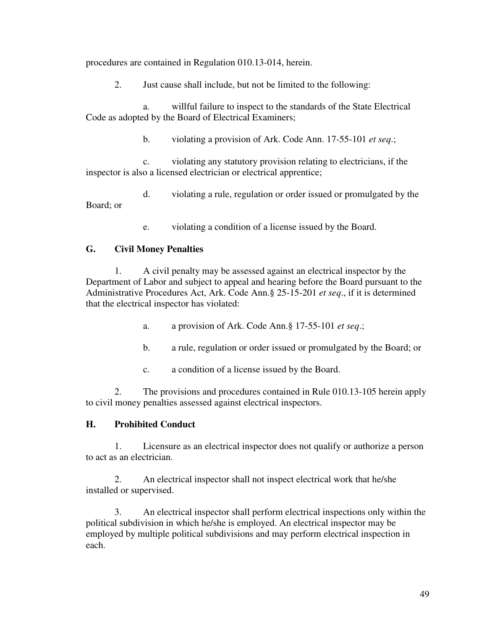procedures are contained in Regulation 010.13-014, herein.

2. Just cause shall include, but not be limited to the following:

 a. willful failure to inspect to the standards of the State Electrical Code as adopted by the Board of Electrical Examiners;

b. violating a provision of Ark. Code Ann. 17-55-101 *et seq*.;

 c. violating any statutory provision relating to electricians, if the inspector is also a licensed electrician or electrical apprentice;

 d. violating a rule, regulation or order issued or promulgated by the Board; or

e. violating a condition of a license issued by the Board.

### **G. Civil Money Penalties**

 1. A civil penalty may be assessed against an electrical inspector by the Department of Labor and subject to appeal and hearing before the Board pursuant to the Administrative Procedures Act, Ark. Code Ann.§ 25-15-201 *et seq*., if it is determined that the electrical inspector has violated:

a. a provision of Ark. Code Ann.§ 17-55-101 *et seq*.;

- b. a rule, regulation or order issued or promulgated by the Board; or
- c. a condition of a license issued by the Board.

 2. The provisions and procedures contained in Rule 010.13-105 herein apply to civil money penalties assessed against electrical inspectors.

### **H. Prohibited Conduct**

 1. Licensure as an electrical inspector does not qualify or authorize a person to act as an electrician.

 2. An electrical inspector shall not inspect electrical work that he/she installed or supervised.

 3. An electrical inspector shall perform electrical inspections only within the political subdivision in which he/she is employed. An electrical inspector may be employed by multiple political subdivisions and may perform electrical inspection in each.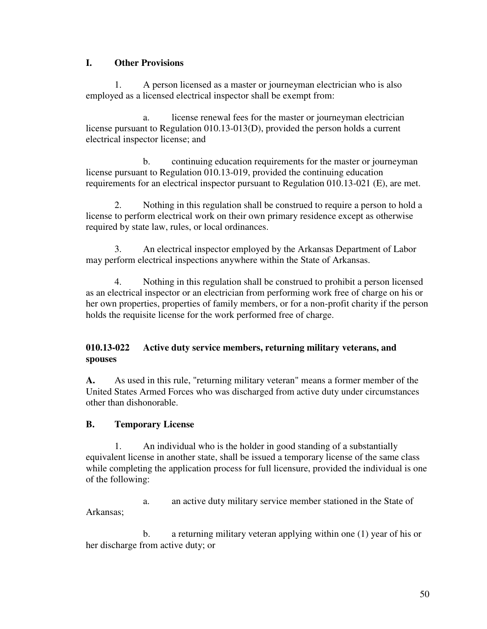### **I. Other Provisions**

 1. A person licensed as a master or journeyman electrician who is also employed as a licensed electrical inspector shall be exempt from:

 a. license renewal fees for the master or journeyman electrician license pursuant to Regulation 010.13-013(D), provided the person holds a current electrical inspector license; and

 b. continuing education requirements for the master or journeyman license pursuant to Regulation 010.13-019, provided the continuing education requirements for an electrical inspector pursuant to Regulation 010.13-021 (E), are met.

 2. Nothing in this regulation shall be construed to require a person to hold a license to perform electrical work on their own primary residence except as otherwise required by state law, rules, or local ordinances.

 3. An electrical inspector employed by the Arkansas Department of Labor may perform electrical inspections anywhere within the State of Arkansas.

 4. Nothing in this regulation shall be construed to prohibit a person licensed as an electrical inspector or an electrician from performing work free of charge on his or her own properties, properties of family members, or for a non-profit charity if the person holds the requisite license for the work performed free of charge.

# **010.13-022 Active duty service members, returning military veterans, and spouses**

**A.** As used in this rule, "returning military veteran" means a former member of the United States Armed Forces who was discharged from active duty under circumstances other than dishonorable.

# **B. Temporary License**

 1. An individual who is the holder in good standing of a substantially equivalent license in another state, shall be issued a temporary license of the same class while completing the application process for full licensure, provided the individual is one of the following:

 a. an active duty military service member stationed in the State of Arkansas;

 b. a returning military veteran applying within one (1) year of his or her discharge from active duty; or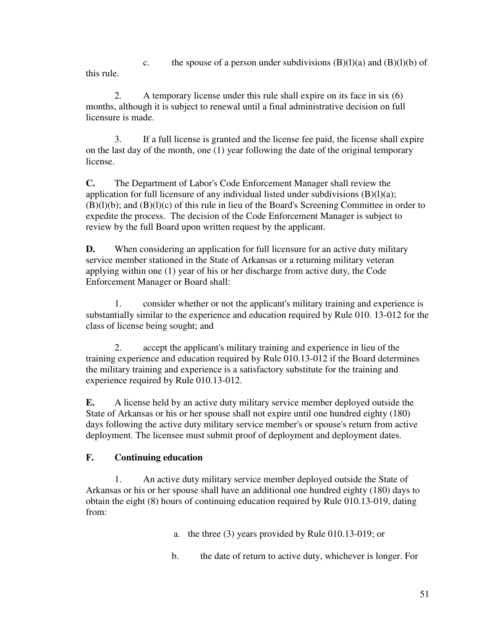c. the spouse of a person under subdivisions  $(B)(l)(a)$  and  $(B)(l)(b)$  of this rule.

 2. A temporary license under this rule shall expire on its face in six (6) months, although it is subject to renewal until a final administrative decision on full licensure is made.

 3. If a full license is granted and the license fee paid, the license shall expire on the last day of the month, one (1) year following the date of the original temporary license.

**C.** The Department of Labor's Code Enforcement Manager shall review the application for full licensure of any individual listed under subdivisions  $(B)(l)(a)$ ; (B)(l)(b); and (B)(l)(c) of this rule in lieu of the Board's Screening Committee in order to expedite the process. The decision of the Code Enforcement Manager is subject to review by the full Board upon written request by the applicant.

**D.** When considering an application for full licensure for an active duty military service member stationed in the State of Arkansas or a returning military veteran applying within one (1) year of his or her discharge from active duty, the Code Enforcement Manager or Board shall:

 1. consider whether or not the applicant's military training and experience is substantially similar to the experience and education required by Rule 010. 13-012 for the class of license being sought; and

 2. accept the applicant's military training and experience in lieu of the training experience and education required by Rule 010.13-012 if the Board determines the military training and experience is a satisfactory substitute for the training and experience required by Rule 010.13-012.

**E.** A license held by an active duty military service member deployed outside the State of Arkansas or his or her spouse shall not expire until one hundred eighty (180) days following the active duty military service member's or spouse's return from active deployment. The licensee must submit proof of deployment and deployment dates.

# **F. Continuing education**

 1. An active duty military service member deployed outside the State of Arkansas or his or her spouse shall have an additional one hundred eighty (180) days to obtain the eight (8) hours of continuing education required by Rule 010.13-019, dating from:

a. the three (3) years provided by Rule 010.13-019; or

b. the date of return to active duty, whichever is longer. For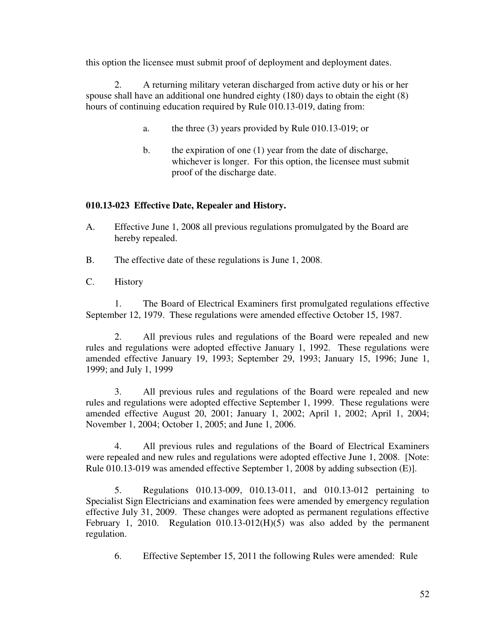this option the licensee must submit proof of deployment and deployment dates.

 2. A returning military veteran discharged from active duty or his or her spouse shall have an additional one hundred eighty (180) days to obtain the eight (8) hours of continuing education required by Rule 010.13-019, dating from:

- a. the three (3) years provided by Rule 010.13-019; or
- b. the expiration of one (1) year from the date of discharge, whichever is longer. For this option, the licensee must submit proof of the discharge date.

### **010.13-023 Effective Date, Repealer and History.**

- A. Effective June 1, 2008 all previous regulations promulgated by the Board are hereby repealed.
- B. The effective date of these regulations is June 1, 2008.
- C. History

 1. The Board of Electrical Examiners first promulgated regulations effective September 12, 1979. These regulations were amended effective October 15, 1987.

 2. All previous rules and regulations of the Board were repealed and new rules and regulations were adopted effective January 1, 1992. These regulations were amended effective January 19, 1993; September 29, 1993; January 15, 1996; June 1, 1999; and July 1, 1999

 3. All previous rules and regulations of the Board were repealed and new rules and regulations were adopted effective September 1, 1999. These regulations were amended effective August 20, 2001; January 1, 2002; April 1, 2002; April 1, 2004; November 1, 2004; October 1, 2005; and June 1, 2006.

 4. All previous rules and regulations of the Board of Electrical Examiners were repealed and new rules and regulations were adopted effective June 1, 2008. [Note: Rule 010.13-019 was amended effective September 1, 2008 by adding subsection (E)].

 5. Regulations 010.13-009, 010.13-011, and 010.13-012 pertaining to Specialist Sign Electricians and examination fees were amended by emergency regulation effective July 31, 2009. These changes were adopted as permanent regulations effective February 1, 2010. Regulation 010.13-012(H)(5) was also added by the permanent regulation.

6. Effective September 15, 2011 the following Rules were amended: Rule